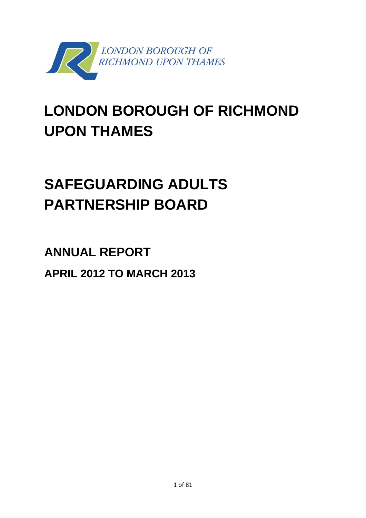

# **LONDON BOROUGH OF RICHMOND UPON THAMES**

# **SAFEGUARDING ADULTS PARTNERSHIP BOARD**

**ANNUAL REPORT APRIL 2012 TO MARCH 2013**

1 of 81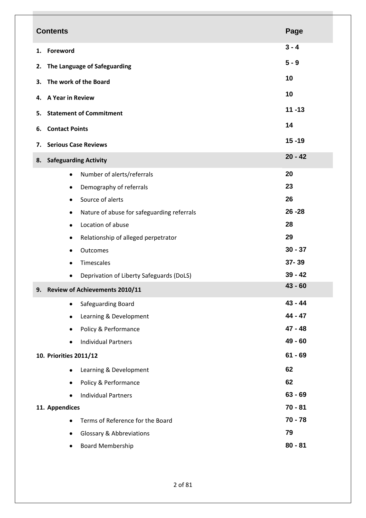| <b>Contents</b>                                 | Page      |
|-------------------------------------------------|-----------|
| Foreword<br>1.                                  | $3 - 4$   |
| The Language of Safeguarding<br>2.              | $5 - 9$   |
|                                                 | 10        |
| The work of the Board<br>3.                     | 10        |
| <b>A Year in Review</b><br>4.                   |           |
| <b>Statement of Commitment</b><br>5.            | $11 - 13$ |
| <b>Contact Points</b><br>6.                     | 14        |
| <b>Serious Case Reviews</b><br>7.               | $15 - 19$ |
| 8. Safeguarding Activity                        | $20 - 42$ |
| Number of alerts/referrals<br>$\bullet$         | 20        |
| Demography of referrals<br>٠                    | 23        |
| Source of alerts<br>٠                           | 26        |
| Nature of abuse for safeguarding referrals<br>٠ | $26 - 28$ |
| Location of abuse<br>٠                          | 28        |
| Relationship of alleged perpetrator<br>٠        | 29        |
| Outcomes<br>٠                                   | $30 - 37$ |
| Timescales<br>$\bullet$                         | 37-39     |
| Deprivation of Liberty Safeguards (DoLS)<br>٠   | $39 - 42$ |
| <b>Review of Achievements 2010/11</b><br>9.     | $43 - 60$ |
| Safeguarding Board<br>٠                         | $43 - 44$ |
| Learning & Development<br>٠                     | 44 - 47   |
| Policy & Performance<br>٠                       | $47 - 48$ |
| <b>Individual Partners</b><br>٠                 | 49 - 60   |
| 10. Priorities 2011/12                          | $61 - 69$ |
| Learning & Development<br>٠                     | 62        |
| Policy & Performance<br>٠                       | 62        |
| <b>Individual Partners</b><br>$\bullet$         | $63 - 69$ |
| 11. Appendices                                  | $70 - 81$ |
|                                                 | $70 - 78$ |
| Terms of Reference for the Board<br>٠           |           |
| Glossary & Abbreviations<br>٠                   | 79        |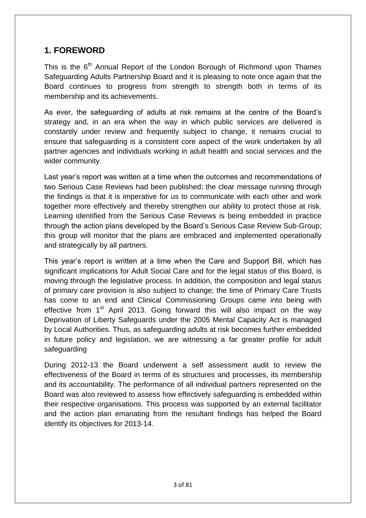# **1. FOREWORD**

This is the 6<sup>th</sup> Annual Report of the London Borough of Richmond upon Thames Safeguarding Adults Partnership Board and it is pleasing to note once again that the Board continues to progress from strength to strength both in terms of its membership and its achievements.

As ever, the safeguarding of adults at risk remains at the centre of the Board's strategy and, in an era when the way in which public services are delivered is constantly under review and frequently subject to change, it remains crucial to ensure that safeguarding is a consistent core aspect of the work undertaken by all partner agencies and individuals working in adult health and social services and the wider community.

Last year's report was written at a time when the outcomes and recommendations of two Serious Case Reviews had been published; the clear message running through the findings is that it is imperative for us to communicate with each other and work together more effectively and thereby strengthen our ability to protect those at risk. Learning identified from the Serious Case Reviews is being embedded in practice through the action plans developed by the Board's Serious Case Review Sub-Group; this group will monitor that the plans are embraced and implemented operationally and strategically by all partners.

This year's report is written at a time when the Care and Support Bill, which has significant implications for Adult Social Care and for the legal status of this Board, is moving through the legislative process. In addition, the composition and legal status of primary care provision is also subject to change; the time of Primary Care Trusts has come to an end and Clinical Commissioning Groups came into being with effective from  $1<sup>st</sup>$  April 2013. Going forward this will also impact on the way Deprivation of Liberty Safeguards under the 2005 Mental Capacity Act is managed by Local Authorities. Thus, as safeguarding adults at risk becomes further embedded in future policy and legislation, we are witnessing a far greater profile for adult safeguarding

During 2012-13 the Board underwent a self assessment audit to review the effectiveness of the Board in terms of its structures and processes, its membership and its accountability. The performance of all individual partners represented on the Board was also reviewed to assess how effectively safeguarding is embedded within their respective organisations. This process was supported by an external facilitator and the action plan emanating from the resultant findings has helped the Board identify its objectives for 2013-14.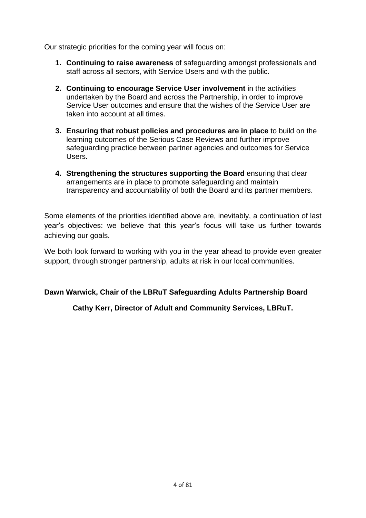Our strategic priorities for the coming year will focus on:

- **1. Continuing to raise awareness** of safeguarding amongst professionals and staff across all sectors, with Service Users and with the public.
- **2. Continuing to encourage Service User involvement** in the activities undertaken by the Board and across the Partnership, in order to improve Service User outcomes and ensure that the wishes of the Service User are taken into account at all times.
- **3. Ensuring that robust policies and procedures are in place** to build on the learning outcomes of the Serious Case Reviews and further improve safeguarding practice between partner agencies and outcomes for Service Users.
- **4. Strengthening the structures supporting the Board** ensuring that clear arrangements are in place to promote safeguarding and maintain transparency and accountability of both the Board and its partner members.

Some elements of the priorities identified above are, inevitably, a continuation of last year's objectives: we believe that this year's focus will take us further towards achieving our goals.

We both look forward to working with you in the year ahead to provide even greater support, through stronger partnership, adults at risk in our local communities.

**Dawn Warwick, Chair of the LBRuT Safeguarding Adults Partnership Board**

**Cathy Kerr, Director of Adult and Community Services, LBRuT.**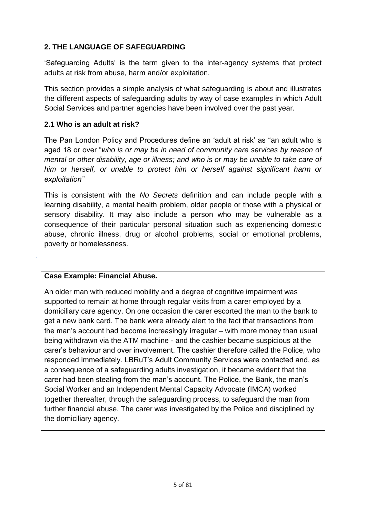# **2. THE LANGUAGE OF SAFEGUARDING**

'Safeguarding Adults' is the term given to the inter-agency systems that protect adults at risk from abuse, harm and/or exploitation.

This section provides a simple analysis of what safeguarding is about and illustrates the different aspects of safeguarding adults by way of case examples in which Adult Social Services and partner agencies have been involved over the past year.

# **2.1 Who is an adult at risk?**

The Pan London Policy and Procedures define an 'adult at risk' as "an adult who is aged 18 or over "*who is or may be in need of community care services by reason of mental or other disability, age or illness; and who is or may be unable to take care of him or herself, or unable to protect him or herself against significant harm or exploitation"*

This is consistent with the *No Secrets* definition and can include people with a learning disability, a mental health problem, older people or those with a physical or sensory disability. It may also include a person who may be vulnerable as a consequence of their particular personal situation such as experiencing domestic abuse, chronic illness, drug or alcohol problems, social or emotional problems, poverty or homelessness.

# **Case Example: Financial Abuse.**

An older man with reduced mobility and a degree of cognitive impairment was supported to remain at home through regular visits from a carer employed by a domiciliary care agency. On one occasion the carer escorted the man to the bank to get a new bank card. The bank were already alert to the fact that transactions from the man's account had become increasingly irregular – with more money than usual being withdrawn via the ATM machine - and the cashier became suspicious at the carer's behaviour and over involvement. The cashier therefore called the Police, who responded immediately. LBRuT's Adult Community Services were contacted and, as a consequence of a safeguarding adults investigation, it became evident that the carer had been stealing from the man's account. The Police, the Bank, the man's Social Worker and an Independent Mental Capacity Advocate (IMCA) worked together thereafter, through the safeguarding process, to safeguard the man from further financial abuse. The carer was investigated by the Police and disciplined by the domiciliary agency.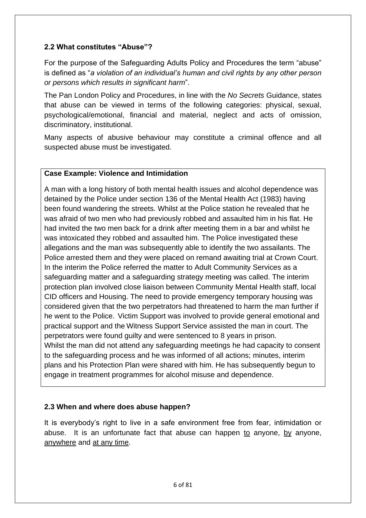# **2.2 What constitutes "Abuse"?**

For the purpose of the Safeguarding Adults Policy and Procedures the term "abuse" is defined as "*a violation of an individual's human and civil rights by any other person or persons which results in significant harm*".

The Pan London Policy and Procedures, in line with the *No Secrets* Guidance, states that abuse can be viewed in terms of the following categories: physical, sexual, psychological/emotional, financial and material, neglect and acts of omission, discriminatory, institutional.

Many aspects of abusive behaviour may constitute a criminal offence and all suspected abuse must be investigated.

## **Case Example: Violence and Intimidation**

A man with a long history of both mental health issues and alcohol dependence was detained by the Police under section 136 of the Mental Health Act (1983) having been found wandering the streets. Whilst at the Police station he revealed that he was afraid of two men who had previously robbed and assaulted him in his flat. He had invited the two men back for a drink after meeting them in a bar and whilst he was intoxicated they robbed and assaulted him. The Police investigated these allegations and the man was subsequently able to identify the two assailants. The Police arrested them and they were placed on remand awaiting trial at Crown Court. In the interim the Police referred the matter to Adult Community Services as a safeguarding matter and a safeguarding strategy meeting was called. The interim protection plan involved close liaison between Community Mental Health staff, local CID officers and Housing. The need to provide emergency temporary housing was considered given that the two perpetrators had threatened to harm the man further if he went to the Police. Victim Support was involved to provide general emotional and practical support and the Witness Support Service assisted the man in court. The perpetrators were found guilty and were sentenced to 8 years in prison. Whilst the man did not attend any safeguarding meetings he had capacity to consent to the safeguarding process and he was informed of all actions; minutes, interim plans and his Protection Plan were shared with him. He has subsequently begun to engage in treatment programmes for alcohol misuse and dependence.

# **2.3 When and where does abuse happen?**

It is everybody's right to live in a safe environment free from fear, intimidation or abuse. It is an unfortunate fact that abuse can happen to anyone, by anyone, anywhere and at any time.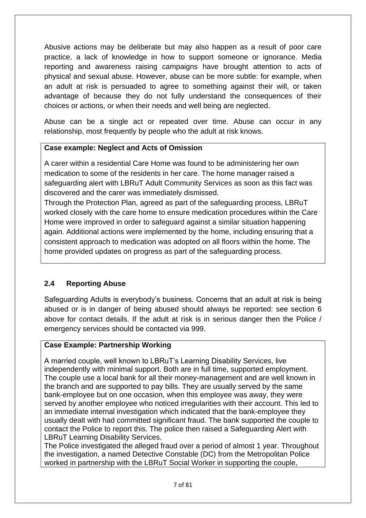Abusive actions may be deliberate but may also happen as a result of poor care practice, a lack of knowledge in how to support someone or ignorance. Media reporting and awareness raising campaigns have brought attention to acts of physical and sexual abuse. However, abuse can be more subtle: for example, when an adult at risk is persuaded to agree to something against their will, or taken advantage of because they do not fully understand the consequences of their choices or actions, or when their needs and well being are neglected.

Abuse can be a single act or repeated over time. Abuse can occur in any relationship, most frequently by people who the adult at risk knows.

# **Case example: Neglect and Acts of Omission**

A carer within a residential Care Home was found to be administering her own medication to some of the residents in her care. The home manager raised a safeguarding alert with LBRuT Adult Community Services as soon as this fact was discovered and the carer was immediately dismissed.

Through the Protection Plan, agreed as part of the safeguarding process, LBRuT worked closely with the care home to ensure medication procedures within the Care Home were improved in order to safeguard against a similar situation happening again. Additional actions were implemented by the home, including ensuring that a consistent approach to medication was adopted on all floors within the home. The home provided updates on progress as part of the safeguarding process.

# **2.4 Reporting Abuse**

Safeguarding Adults is everybody's business. Concerns that an adult at risk is being abused or is in danger of being abused should always be reported: see section 6 above for contact details. If the adult at risk is in serious danger then the Police / emergency services should be contacted via 999.

# **Case Example: Partnership Working**

A married couple, well known to LBRuT's Learning Disability Services, live independently with minimal support. Both are in full time, supported employment. The couple use a local bank for all their money-management and are well known in the branch and are supported to pay bills. They are usually served by the same bank-employee but on one occasion, when this employee was away, they were served by another employee who noticed irregularities with their account. This led to an immediate internal investigation which indicated that the bank-employee they usually dealt with had committed significant fraud. The bank supported the couple to contact the Police to report this. The police then raised a Safeguarding Alert with LBRuT Learning Disability Services.

The Police investigated the alleged fraud over a period of almost 1 year. Throughout the investigation, a named Detective Constable (DC) from the Metropolitan Police worked in partnership with the LBRuT Social Worker in supporting the couple,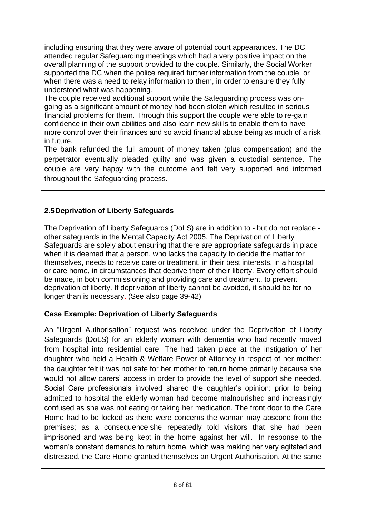including ensuring that they were aware of potential court appearances. The DC attended regular Safeguarding meetings which had a very positive impact on the overall planning of the support provided to the couple. Similarly, the Social Worker supported the DC when the police required further information from the couple, or when there was a need to relay information to them, in order to ensure they fully understood what was happening.

The couple received additional support while the Safeguarding process was ongoing as a significant amount of money had been stolen which resulted in serious financial problems for them. Through this support the couple were able to re-gain confidence in their own abilities and also learn new skills to enable them to have more control over their finances and so avoid financial abuse being as much of a risk in future.

The bank refunded the full amount of money taken (plus compensation) and the perpetrator eventually pleaded guilty and was given a custodial sentence. The couple are very happy with the outcome and felt very supported and informed throughout the Safeguarding process.

# **2.5Deprivation of Liberty Safeguards**

The Deprivation of Liberty Safeguards (DoLS) are in addition to ‐ but do not replace ‐ other safeguards in the Mental Capacity Act 2005. The Deprivation of Liberty Safeguards are solely about ensuring that there are appropriate safeguards in place when it is deemed that a person, who lacks the capacity to decide the matter for themselves, needs to receive care or treatment, in their best interests, in a hospital or care home, in circumstances that deprive them of their liberty. Every effort should be made, in both commissioning and providing care and treatment, to prevent deprivation of liberty. If deprivation of liberty cannot be avoided, it should be for no longer than is necessary. (See also page 39-42)

# **Case Example: Deprivation of Liberty Safeguards**

An "Urgent Authorisation" request was received under the Deprivation of Liberty Safeguards (DoLS) for an elderly woman with dementia who had recently moved from hospital into residential care. The had taken place at the instigation of her daughter who held a Health & Welfare Power of Attorney in respect of her mother: the daughter felt it was not safe for her mother to return home primarily because she would not allow carers' access in order to provide the level of support she needed. Social Care professionals involved shared the daughter's opinion: prior to being admitted to hospital the elderly woman had become malnourished and increasingly confused as she was not eating or taking her medication. The front door to the Care Home had to be locked as there were concerns the woman may abscond from the premises; as a consequence she repeatedly told visitors that she had been imprisoned and was being kept in the home against her will. In response to the woman's constant demands to return home, which was making her very agitated and distressed, the Care Home granted themselves an Urgent Authorisation. At the same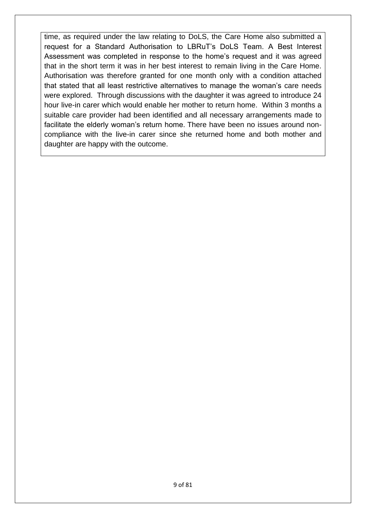time, as required under the law relating to DoLS, the Care Home also submitted a request for a Standard Authorisation to LBRuT's DoLS Team. A Best Interest Assessment was completed in response to the home's request and it was agreed that in the short term it was in her best interest to remain living in the Care Home. Authorisation was therefore granted for one month only with a condition attached that stated that all least restrictive alternatives to manage the woman's care needs were explored. Through discussions with the daughter it was agreed to introduce 24 hour live-in carer which would enable her mother to return home. Within 3 months a suitable care provider had been identified and all necessary arrangements made to facilitate the elderly woman's return home. There have been no issues around noncompliance with the live-in carer since she returned home and both mother and daughter are happy with the outcome.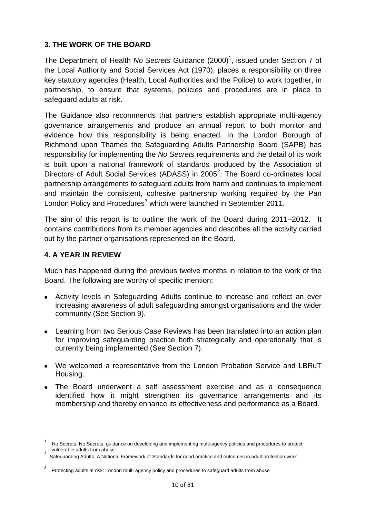# **3. THE WORK OF THE BOARD**

The Department of Health *No Secrets* Guidance (2000)<sup>1</sup>, issued under Section 7 of the Local Authority and Social Services Act (1970), places a responsibility on three key statutory agencies (Health, Local Authorities and the Police) to work together, in partnership, to ensure that systems, policies and procedures are in place to safeguard adults at risk.

The Guidance also recommends that partners establish appropriate multi-agency governance arrangements and produce an annual report to both monitor and evidence how this responsibility is being enacted. In the London Borough of Richmond upon Thames the Safeguarding Adults Partnership Board (SAPB) has responsibility for implementing the *No Secrets* requirements and the detail of its work is built upon a national framework of standards produced by the Association of Directors of Adult Social Services (ADASS) in 2005<sup>2</sup>. The Board co-ordinates local partnership arrangements to safeguard adults from harm and continues to implement and maintain the consistent, cohesive partnership working required by the Pan London Policy and Procedures<sup>3</sup> which were launched in September 2011.

The aim of this report is to outline the work of the Board during 2011–2012. It contains contributions from its member agencies and describes all the activity carried out by the partner organisations represented on the Board.

# **4. A YEAR IN REVIEW**

**.** 

Much has happened during the previous twelve months in relation to the work of the Board. The following are worthy of specific mention:

- Activity levels in Safeguarding Adults continue to increase and reflect an ever increasing awareness of adult safeguarding amongst organisations and the wider community (See Section 9).
- Learning from two Serious Case Reviews has been translated into an action plan for improving safeguarding practice both strategically and operationally that is currently being implemented (See Section 7).
- We welcomed a representative from the London Probation Service and LBRuT Housing.
- The Board underwent a self assessment exercise and as a consequence identified how it might strengthen its governance arrangements and its membership and thereby enhance its effectiveness and performance as a Board.

<sup>1</sup> No Secrets: No Secrets: guidance on developing and implementing multi-agency policies and procedures to protect vulnerable adults from abuse

 $2$  Safeguarding Adults: A National Framework of Standards for good practice and outcomes in adult protection work

<sup>3</sup> Protecting adults at risk: London multi-agency policy and procedures to safeguard adults from abuse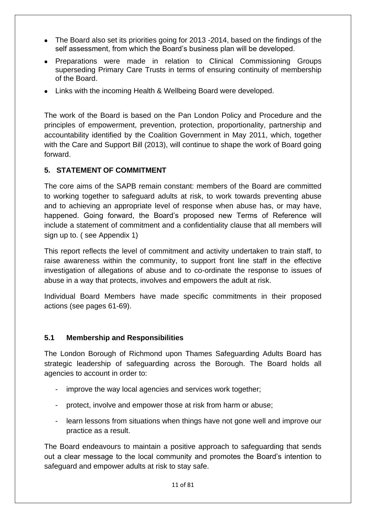- The Board also set its priorities going for 2013 -2014, based on the findings of the self assessment, from which the Board's business plan will be developed.
- Preparations were made in relation to Clinical Commissioning Groups superseding Primary Care Trusts in terms of ensuring continuity of membership of the Board.
- Links with the incoming Health & Wellbeing Board were developed.

The work of the Board is based on the Pan London Policy and Procedure and the principles of empowerment, prevention, protection, proportionality, partnership and accountability identified by the Coalition Government in May 2011, which, together with the Care and Support Bill (2013), will continue to shape the work of Board going forward.

# **5. STATEMENT OF COMMITMENT**

The core aims of the SAPB remain constant: members of the Board are committed to working together to safeguard adults at risk, to work towards preventing abuse and to achieving an appropriate level of response when abuse has, or may have, happened. Going forward, the Board's proposed new Terms of Reference will include a statement of commitment and a confidentiality clause that all members will sign up to. ( see Appendix 1)

This report reflects the level of commitment and activity undertaken to train staff, to raise awareness within the community, to support front line staff in the effective investigation of allegations of abuse and to co-ordinate the response to issues of abuse in a way that protects, involves and empowers the adult at risk.

Individual Board Members have made specific commitments in their proposed actions (see pages 61-69).

# **5.1 Membership and Responsibilities**

The London Borough of Richmond upon Thames Safeguarding Adults Board has strategic leadership of safeguarding across the Borough. The Board holds all agencies to account in order to:

- improve the way local agencies and services work together:
- protect, involve and empower those at risk from harm or abuse;
- learn lessons from situations when things have not gone well and improve our practice as a result.

The Board endeavours to maintain a positive approach to safeguarding that sends out a clear message to the local community and promotes the Board's intention to safeguard and empower adults at risk to stay safe.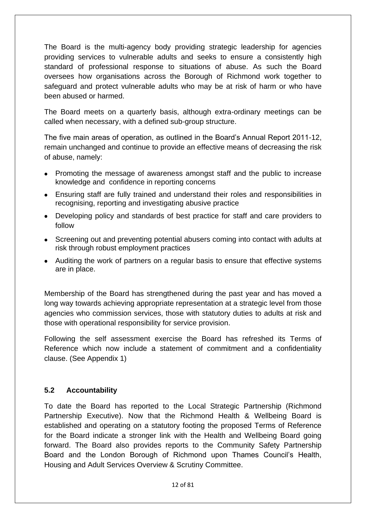The Board is the multi-agency body providing strategic leadership for agencies providing services to vulnerable adults and seeks to ensure a consistently high standard of professional response to situations of abuse. As such the Board oversees how organisations across the Borough of Richmond work together to safeguard and protect vulnerable adults who may be at risk of harm or who have been abused or harmed.

The Board meets on a quarterly basis, although extra-ordinary meetings can be called when necessary, with a defined sub-group structure.

The five main areas of operation, as outlined in the Board's Annual Report 2011-12, remain unchanged and continue to provide an effective means of decreasing the risk of abuse, namely:

- Promoting the message of awareness amongst staff and the public to increase knowledge and confidence in reporting concerns
- Ensuring staff are fully trained and understand their roles and responsibilities in recognising, reporting and investigating abusive practice
- Developing policy and standards of best practice for staff and care providers to follow
- Screening out and preventing potential abusers coming into contact with adults at risk through robust employment practices
- Auditing the work of partners on a regular basis to ensure that effective systems are in place.

Membership of the Board has strengthened during the past year and has moved a long way towards achieving appropriate representation at a strategic level from those agencies who commission services, those with statutory duties to adults at risk and those with operational responsibility for service provision.

Following the self assessment exercise the Board has refreshed its Terms of Reference which now include a statement of commitment and a confidentiality clause. (See Appendix 1)

# **5.2 Accountability**

To date the Board has reported to the Local Strategic Partnership (Richmond Partnership Executive). Now that the Richmond Health & Wellbeing Board is established and operating on a statutory footing the proposed Terms of Reference for the Board indicate a stronger link with the Health and Wellbeing Board going forward. The Board also provides reports to the Community Safety Partnership Board and the London Borough of Richmond upon Thames Council's Health, Housing and Adult Services Overview & Scrutiny Committee.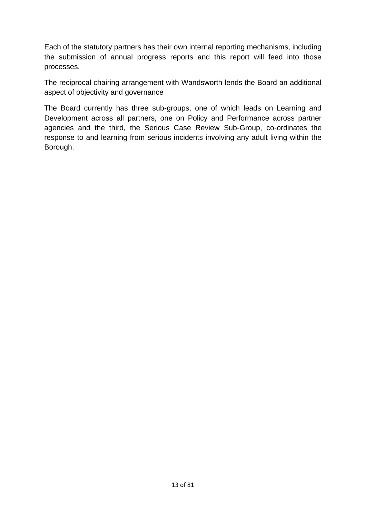Each of the statutory partners has their own internal reporting mechanisms, including the submission of annual progress reports and this report will feed into those processes.

The reciprocal chairing arrangement with Wandsworth lends the Board an additional aspect of objectivity and governance

The Board currently has three sub-groups, one of which leads on Learning and Development across all partners, one on Policy and Performance across partner agencies and the third, the Serious Case Review Sub-Group, co-ordinates the response to and learning from serious incidents involving any adult living within the Borough.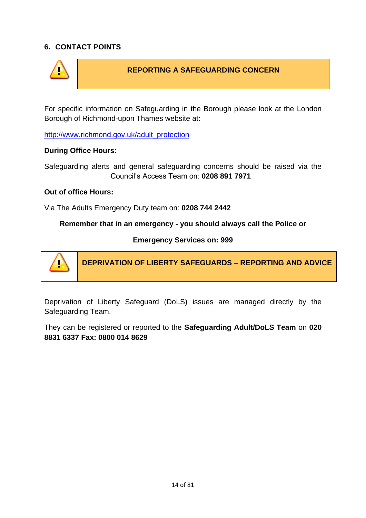# **6. CONTACT POINTS**



# **REPORTING A SAFEGUARDING CONCERN**

For specific information on Safeguarding in the Borough please look at the London Borough of Richmond-upon Thames website at:

[http://www.richmond.gov.uk/adult\\_protection](http://www.richmond.gov.uk/adult_protection)

#### **During Office Hours:**

Safeguarding alerts and general safeguarding concerns should be raised via the Council's Access Team on: **0208 891 7971**

## **Out of office Hours:**

Via The Adults Emergency Duty team on: **0208 744 2442**

**Remember that in an emergency - you should always call the Police or** 

**Emergency Services on: 999**



**DEPRIVATION OF LIBERTY SAFEGUARDS – REPORTING AND ADVICE**

Deprivation of Liberty Safeguard (DoLS) issues are managed directly by the Safeguarding Team.

They can be registered or reported to the **Safeguarding Adult/DoLS Team** on **020 8831 6337 Fax: 0800 014 8629**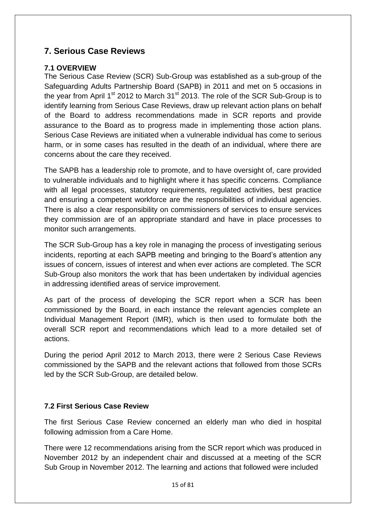# **7. Serious Case Reviews**

# **7.1 OVERVIEW**

The Serious Case Review (SCR) Sub-Group was established as a sub-group of the Safeguarding Adults Partnership Board (SAPB) in 2011 and met on 5 occasions in the year from April  $1<sup>st</sup>$  2012 to March 31 $<sup>st</sup>$  2013. The role of the SCR Sub-Group is to</sup> identify learning from Serious Case Reviews, draw up relevant action plans on behalf of the Board to address recommendations made in SCR reports and provide assurance to the Board as to progress made in implementing those action plans. Serious Case Reviews are initiated when a vulnerable individual has come to serious harm, or in some cases has resulted in the death of an individual, where there are concerns about the care they received.

The SAPB has a leadership role to promote, and to have oversight of, care provided to vulnerable individuals and to highlight where it has specific concerns. Compliance with all legal processes, statutory requirements, regulated activities, best practice and ensuring a competent workforce are the responsibilities of individual agencies. There is also a clear responsibility on commissioners of services to ensure services they commission are of an appropriate standard and have in place processes to monitor such arrangements.

The SCR Sub-Group has a key role in managing the process of investigating serious incidents, reporting at each SAPB meeting and bringing to the Board's attention any issues of concern, issues of interest and when ever actions are completed. The SCR Sub-Group also monitors the work that has been undertaken by individual agencies in addressing identified areas of service improvement.

As part of the process of developing the SCR report when a SCR has been commissioned by the Board, in each instance the relevant agencies complete an Individual Management Report (IMR), which is then used to formulate both the overall SCR report and recommendations which lead to a more detailed set of actions.

During the period April 2012 to March 2013, there were 2 Serious Case Reviews commissioned by the SAPB and the relevant actions that followed from those SCRs led by the SCR Sub-Group, are detailed below.

# **7.2 First Serious Case Review**

The first Serious Case Review concerned an elderly man who died in hospital following admission from a Care Home.

There were 12 recommendations arising from the SCR report which was produced in November 2012 by an independent chair and discussed at a meeting of the SCR Sub Group in November 2012. The learning and actions that followed were included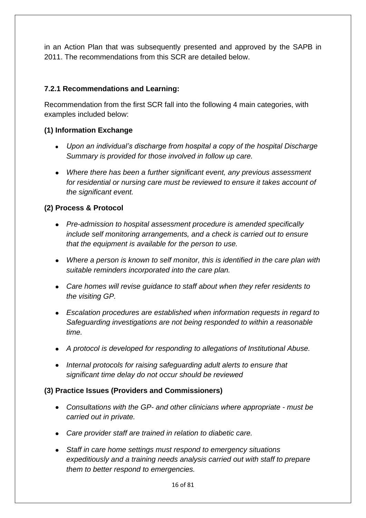in an Action Plan that was subsequently presented and approved by the SAPB in 2011. The recommendations from this SCR are detailed below.

# **7.2.1 Recommendations and Learning:**

Recommendation from the first SCR fall into the following 4 main categories, with examples included below:

# **(1) Information Exchange**

- *Upon an individual's discharge from hospital a copy of the hospital Discharge Summary is provided for those involved in follow up care.*
- *Where there has been a further significant event, any previous assessment for residential or nursing care must be reviewed to ensure it takes account of the significant event.*

# **(2) Process & Protocol**

- *Pre-admission to hospital assessment procedure is amended specifically include self monitoring arrangements, and a check is carried out to ensure that the equipment is available for the person to use.*
- *Where a person is known to self monitor, this is identified in the care plan with suitable reminders incorporated into the care plan.*
- *Care homes will revise guidance to staff about when they refer residents to the visiting GP.*
- *Escalation procedures are established when information requests in regard to Safeguarding investigations are not being responded to within a reasonable time.*
- *A protocol is developed for responding to allegations of Institutional Abuse.*
- *Internal protocols for raising safeguarding adult alerts to ensure that significant time delay do not occur should be reviewed*

# **(3) Practice Issues (Providers and Commissioners)**

- *Consultations with the GP- and other clinicians where appropriate - must be carried out in private.*
- *Care provider staff are trained in relation to diabetic care.*
- *Staff in care home settings must respond to emergency situations expeditiously and a training needs analysis carried out with staff to prepare them to better respond to emergencies.*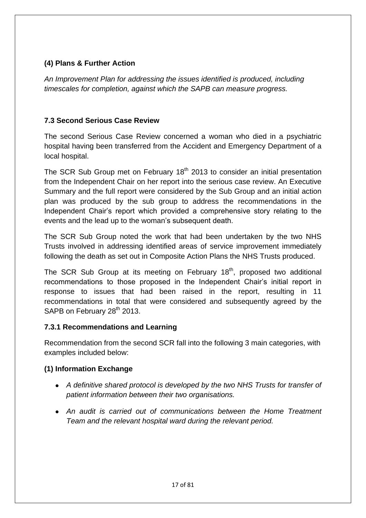# **(4) Plans & Further Action**

*An Improvement Plan for addressing the issues identified is produced, including timescales for completion, against which the SAPB can measure progress.*

# **7.3 Second Serious Case Review**

The second Serious Case Review concerned a woman who died in a psychiatric hospital having been transferred from the Accident and Emergency Department of a local hospital.

The SCR Sub Group met on February  $18<sup>th</sup>$  2013 to consider an initial presentation from the Independent Chair on her report into the serious case review. An Executive Summary and the full report were considered by the Sub Group and an initial action plan was produced by the sub group to address the recommendations in the Independent Chair's report which provided a comprehensive story relating to the events and the lead up to the woman's subsequent death.

The SCR Sub Group noted the work that had been undertaken by the two NHS Trusts involved in addressing identified areas of service improvement immediately following the death as set out in Composite Action Plans the NHS Trusts produced.

The SCR Sub Group at its meeting on February  $18<sup>th</sup>$ , proposed two additional recommendations to those proposed in the Independent Chair's initial report in response to issues that had been raised in the report, resulting in 11 recommendations in total that were considered and subsequently agreed by the SAPB on February 28<sup>th</sup> 2013.

# **7.3.1 Recommendations and Learning**

Recommendation from the second SCR fall into the following 3 main categories, with examples included below:

# **(1) Information Exchange**

- *A definitive shared protocol is developed by the two NHS Trusts for transfer of patient information between their two organisations.*
- *An audit is carried out of communications between the Home Treatment Team and the relevant hospital ward during the relevant period.*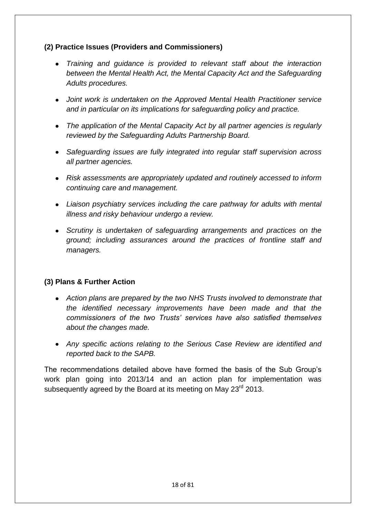# **(2) Practice Issues (Providers and Commissioners)**

- *Training and guidance is provided to relevant staff about the interaction between the Mental Health Act, the Mental Capacity Act and the Safeguarding Adults procedures.*
- *Joint work is undertaken on the Approved Mental Health Practitioner service and in particular on its implications for safeguarding policy and practice.*
- *The application of the Mental Capacity Act by all partner agencies is regularly reviewed by the Safeguarding Adults Partnership Board.*
- *Safeguarding issues are fully integrated into regular staff supervision across all partner agencies.*
- *Risk assessments are appropriately updated and routinely accessed to inform continuing care and management.*
- *Liaison psychiatry services including the care pathway for adults with mental illness and risky behaviour undergo a review.*
- *Scrutiny is undertaken of safeguarding arrangements and practices on the ground; including assurances around the practices of frontline staff and managers.*

# **(3) Plans & Further Action**

- *Action plans are prepared by the two NHS Trusts involved to demonstrate that the identified necessary improvements have been made and that the commissioners of the two Trusts' services have also satisfied themselves about the changes made.*
- *Any specific actions relating to the Serious Case Review are identified and reported back to the SAPB.*

The recommendations detailed above have formed the basis of the Sub Group's work plan going into 2013/14 and an action plan for implementation was subsequently agreed by the Board at its meeting on May 23<sup>rd</sup> 2013.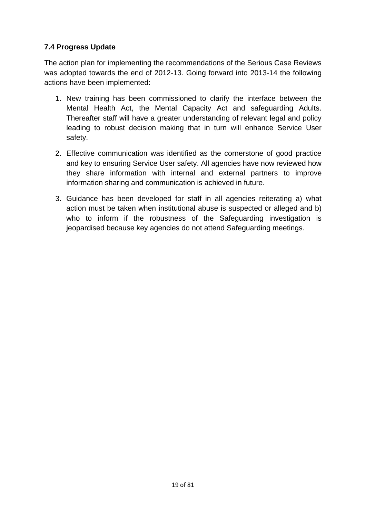# **7.4 Progress Update**

The action plan for implementing the recommendations of the Serious Case Reviews was adopted towards the end of 2012-13. Going forward into 2013-14 the following actions have been implemented:

- 1. New training has been commissioned to clarify the interface between the Mental Health Act, the Mental Capacity Act and safeguarding Adults. Thereafter staff will have a greater understanding of relevant legal and policy leading to robust decision making that in turn will enhance Service User safety.
- 2. Effective communication was identified as the cornerstone of good practice and key to ensuring Service User safety. All agencies have now reviewed how they share information with internal and external partners to improve information sharing and communication is achieved in future.
- 3. Guidance has been developed for staff in all agencies reiterating a) what action must be taken when institutional abuse is suspected or alleged and b) who to inform if the robustness of the Safeguarding investigation is jeopardised because key agencies do not attend Safeguarding meetings.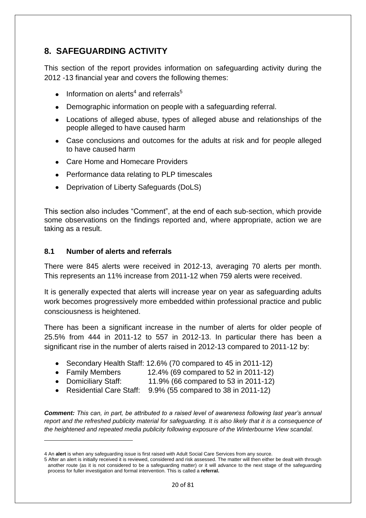# **8. SAFEGUARDING ACTIVITY**

This section of the report provides information on safeguarding activity during the 2012 -13 financial year and covers the following themes:

- Information on alerts<sup>4</sup> and referrals<sup>5</sup>
- Demographic information on people with a safeguarding referral.
- Locations of alleged abuse, types of alleged abuse and relationships of the people alleged to have caused harm
- Case conclusions and outcomes for the adults at risk and for people alleged to have caused harm
- Care Home and Homecare Providers
- Performance data relating to PLP timescales
- Deprivation of Liberty Safeguards (DoLS)

This section also includes "Comment", at the end of each sub-section, which provide some observations on the findings reported and, where appropriate, action we are taking as a result.

## **8.1 Number of alerts and referrals**

1

There were 845 alerts were received in 2012-13, averaging 70 alerts per month. This represents an 11% increase from 2011-12 when 759 alerts were received.

It is generally expected that alerts will increase year on year as safeguarding adults work becomes progressively more embedded within professional practice and public consciousness is heightened.

There has been a significant increase in the number of alerts for older people of 25.5% from 444 in 2011-12 to 557 in 2012-13. In particular there has been a significant rise in the number of alerts raised in 2012-13 compared to 2011-12 by:

- Secondary Health Staff: 12.6% (70 compared to 45 in 2011-12)
- Family Members 12.4% (69 compared to 52 in 2011-12)
- Domiciliary Staff: 11.9% (66 compared to 53 in 2011-12)
- Residential Care Staff: 9.9% (55 compared to 38 in 2011-12)  $\bullet$

*Comment: This can, in part, be attributed to a raised level of awareness following last year's annual report and the refreshed publicity material for safeguarding. It is also likely that it is a consequence of the heightened and repeated media publicity following exposure of the Winterbourne View scandal.*

<sup>4</sup> An **alert** is when any safeguarding issue is first raised with Adult Social Care Services from any source.

<sup>5</sup> After an alert is initially received it is reviewed, considered and risk assessed. The matter will then either be dealt with through another route (as it is not considered to be a safeguarding matter) or it will advance to the next stage of the safeguarding process for fuller investigation and formal intervention. This is called a **referral.**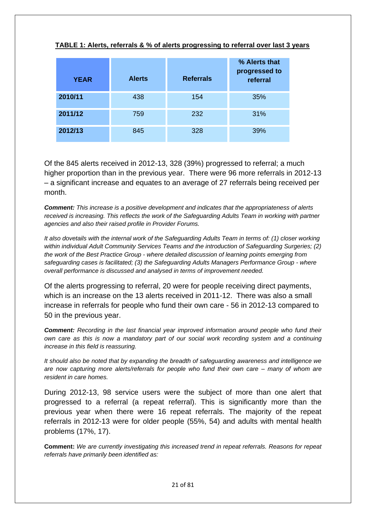| <b>YEAR</b> | <b>Alerts</b> | <b>Referrals</b> | % Alerts that<br>progressed to<br>referral |
|-------------|---------------|------------------|--------------------------------------------|
| 2010/11     | 438           | 154              | 35%                                        |
| 2011/12     | 759           | 232              | 31%                                        |
| 2012/13     | 845           | 328              | 39%                                        |

#### **TABLE 1: Alerts, referrals & % of alerts progressing to referral over last 3 years**

Of the 845 alerts received in 2012-13, 328 (39%) progressed to referral; a much higher proportion than in the previous year. There were 96 more referrals in 2012-13 – a significant increase and equates to an average of 27 referrals being received per month.

*Comment: This increase is a positive development and indicates that the appropriateness of alerts received is increasing. This reflects the work of the Safeguarding Adults Team in working with partner agencies and also their raised profile in Provider Forums.* 

*It also dovetails with the internal work of the Safeguarding Adults Team in terms of: (1) closer working within individual Adult Community Services Teams and the introduction of Safeguarding Surgeries; (2) the work of the Best Practice Group - where detailed discussion of learning points emerging from safeguarding cases is facilitated; (3) the Safeguarding Adults Managers Performance Group - where overall performance is discussed and analysed in terms of improvement needed.*

Of the alerts progressing to referral, 20 were for people receiving direct payments, which is an increase on the 13 alerts received in 2011-12. There was also a small increase in referrals for people who fund their own care - 56 in 2012-13 compared to 50 in the previous year.

*Comment: Recording in the last financial year improved information around people who fund their own care as this is now a mandatory part of our social work recording system and a continuing increase in this field is reassuring.*

*It should also be noted that by expanding the breadth of safeguarding awareness and intelligence we are now capturing more alerts/referrals for people who fund their own care – many of whom are resident in care homes.*

During 2012-13, 98 service users were the subject of more than one alert that progressed to a referral (a repeat referral). This is significantly more than the previous year when there were 16 repeat referrals. The majority of the repeat referrals in 2012-13 were for older people (55%, 54) and adults with mental health problems (17%, 17).

**Comment:** *We are currently investigating this increased trend in repeat referrals. Reasons for repeat referrals have primarily been identified as:*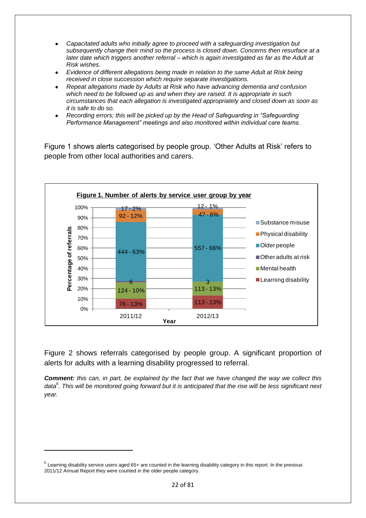- *Capacitated adults who initially agree to proceed with a safeguarding investigation but subsequently change their mind so the process is closed down. Concerns then resurface at a later date which triggers another referral – which is again investigated as far as the Adult at Risk wishes.*
- *Evidence of different allegations being made in relation to the same Adult at Risk being received in close succession which require separate investigations.*
- *Repeat allegations made by Adults at Risk who have advancing dementia and confusion which need to be followed up as and when they are raised. It is appropriate in such circumstances that each allegation is investigated appropriately and closed down as soon as it is safe to do so.*
- *Recording errors; this will be picked up by the Head of Safeguarding in "Safeguarding Performance Management" meetings and also monitored within individual care teams.*

Figure 1 shows alerts categorised by people group. 'Other Adults at Risk' refers to people from other local authorities and carers.



Figure 2 shows referrals categorised by people group. A significant proportion of alerts for adults with a learning disability progressed to referral.

*Comment: this can, in part, be explained by the fact that we have changed the way we collect this data<sup>6</sup> . This will be monitored going forward but it is anticipated that the rise will be less significant next year.*

1

 $^6$  Learning disability service users aged 65+ are counted in the learning disability category in this report. In the previous 2011/12 Annual Report they were counted in the older people category.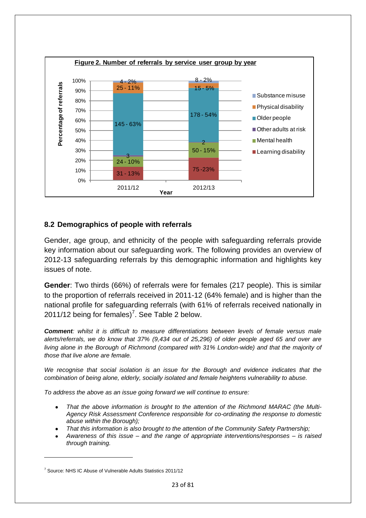

## **8.2 Demographics of people with referrals**

Gender, age group, and ethnicity of the people with safeguarding referrals provide key information about our safeguarding work. The following provides an overview of 2012-13 safeguarding referrals by this demographic information and highlights key issues of note.

**Gender**: Two thirds (66%) of referrals were for females (217 people). This is similar to the proportion of referrals received in 2011-12 (64% female) and is higher than the national profile for safeguarding referrals (with 61% of referrals received nationally in 2011/12 being for females)<sup>7</sup>. See Table 2 below.

*Comment: whilst it is difficult to measure differentiations between levels of female versus male alerts/referrals, we do know that 37% (9,434 out of 25,296) of older people aged 65 and over are living alone in the Borough of Richmond (compared with 31% London-wide) and that the majority of those that live alone are female.*

*We recognise that social isolation is an issue for the Borough and evidence indicates that the combination of being alone, elderly, socially isolated and female heightens vulnerability to abuse.* 

*To address the above as an issue going forward we will continue to ensure:*

- *That the above information is brought to the attention of the Richmond MARAC (the Multi-Agency Risk Assessment Conference responsible for co-ordinating the response to domestic abuse within the Borough);*
- *That this information is also brought to the attention of the Community Safety Partnership;*
- *Awareness of this issue – and the range of appropriate interventions/responses – is raised through training.*

**.** 

<sup>&</sup>lt;sup>7</sup> Source: NHS IC Abuse of Vulnerable Adults Statistics 2011/12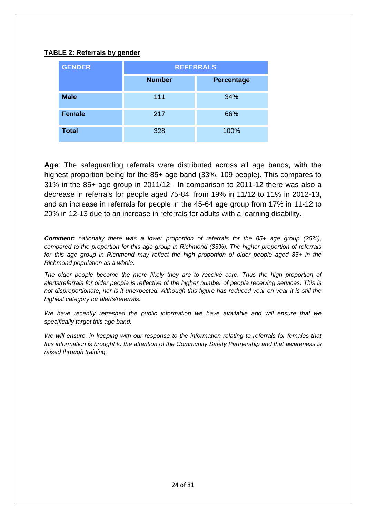## **TABLE 2: Referrals by gender**

| <b>GENDER</b> | <b>REFERRALS</b> |                   |  |
|---------------|------------------|-------------------|--|
|               | <b>Number</b>    | <b>Percentage</b> |  |
| <b>Male</b>   | 111              | 34%               |  |
| <b>Female</b> | 217              | 66%               |  |
| <b>Total</b>  | 328              | 100%              |  |

**Age**: The safeguarding referrals were distributed across all age bands, with the highest proportion being for the 85+ age band (33%, 109 people). This compares to 31% in the 85+ age group in 2011/12. In comparison to 2011-12 there was also a decrease in referrals for people aged 75-84, from 19% in 11/12 to 11% in 2012-13, and an increase in referrals for people in the 45-64 age group from 17% in 11-12 to 20% in 12-13 due to an increase in referrals for adults with a learning disability.

*Comment: nationally there was a lower proportion of referrals for the 85+ age group (25%), compared to the proportion for this age group in Richmond (33%). The higher proportion of referrals for this age group in Richmond may reflect the high proportion of older people aged 85+ in the Richmond population as a whole.*

The older people become the more likely they are to receive care. Thus the high proportion of *alerts/referrals for older people is reflective of the higher number of people receiving services. This is not disproportionate, nor is it unexpected. Although this figure has reduced year on year it is still the highest category for alerts/referrals.*

*We have recently refreshed the public information we have available and will ensure that we specifically target this age band.*

*We will ensure, in keeping with our response to the information relating to referrals for females that this information is brought to the attention of the Community Safety Partnership and that awareness is raised through training.*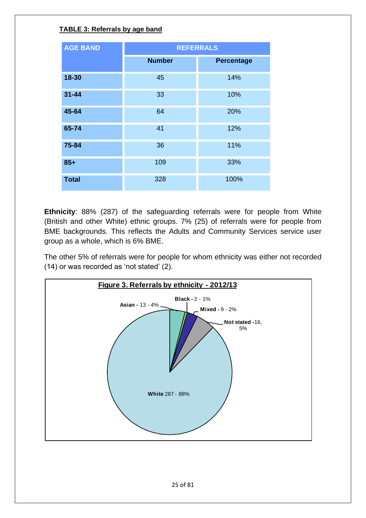# **TABLE 3: Referrals by age band**

| <b>AGE BAND</b> | <b>REFERRALS</b> |            |  |  |
|-----------------|------------------|------------|--|--|
|                 | <b>Number</b>    | Percentage |  |  |
| 18-30           | 45               | 14%        |  |  |
| $31 - 44$       | 33               | 10%        |  |  |
| 45-64           | 64               | 20%        |  |  |
| 65-74           | 41               | 12%        |  |  |
| 75-84           | 36               | 11%        |  |  |
| $85+$           | 109              | 33%        |  |  |
| <b>Total</b>    | 328              | 100%       |  |  |

**Ethnicity**: 88% (287) of the safeguarding referrals were for people from White (British and other White) ethnic groups. 7% (25) of referrals were for people from BME backgrounds. This reflects the Adults and Community Services service user group as a whole, which is 6% BME.

The other 5% of referrals were for people for whom ethnicity was either not recorded (14) or was recorded as 'not stated' (2).

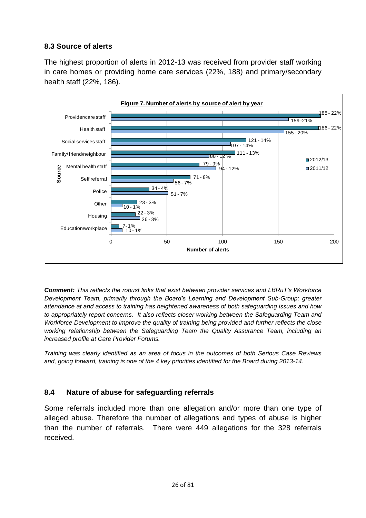# **8.3 Source of alerts**

The highest proportion of alerts in 2012-13 was received from provider staff working in care homes or providing home care services (22%, 188) and primary/secondary health staff (22%, 186).



*Comment: This reflects the robust links that exist between provider services and LBRuT's Workforce Development Team, primarily through the Board's Learning and Development Sub-Group; greater attendance at and access to training has heightened awareness of both safeguarding issues and how to appropriately report concerns. It also reflects closer working between the Safeguarding Team and Workforce Development to improve the quality of training being provided and further reflects the close working relationship between the Safeguarding Team the Quality Assurance Team, including an increased profile at Care Provider Forums.* 

*Training was clearly identified as an area of focus in the outcomes of both Serious Case Reviews and, going forward, training is one of the 4 key priorities identified for the Board during 2013-14.*

# **8.4 Nature of abuse for safeguarding referrals**

Some referrals included more than one allegation and/or more than one type of alleged abuse. Therefore the number of allegations and types of abuse is higher than the number of referrals. There were 449 allegations for the 328 referrals received.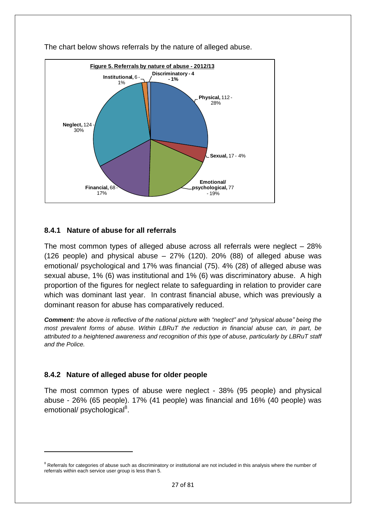

The chart below shows referrals by the nature of alleged abuse.

# **8.4.1 Nature of abuse for all referrals**

The most common types of alleged abuse across all referrals were neglect – 28% (126 people) and physical abuse  $-27\%$  (120). 20% (88) of alleged abuse was emotional/ psychological and 17% was financial (75). 4% (28) of alleged abuse was sexual abuse, 1% (6) was institutional and 1% (6) was discriminatory abuse. A high proportion of the figures for neglect relate to safeguarding in relation to provider care which was dominant last year. In contrast financial abuse, which was previously a dominant reason for abuse has comparatively reduced.

*Comment: the above is reflective of the national picture with "neglect" and "physical abuse" being the most prevalent forms of abuse. Within LBRuT the reduction in financial abuse can, in part, be attributed to a heightened awareness and recognition of this type of abuse, particularly by LBRuT staff and the Police.*

#### **8.4.2 Nature of alleged abuse for older people**

 $\overline{a}$ 

The most common types of abuse were neglect - 38% (95 people) and physical abuse - 26% (65 people). 17% (41 people) was financial and 16% (40 people) was emotional/ psychological<sup>8</sup>.

<sup>&</sup>lt;sup>8</sup> Referrals for categories of abuse such as discriminatory or institutional are not included in this analysis where the number of referrals within each service user group is less than 5.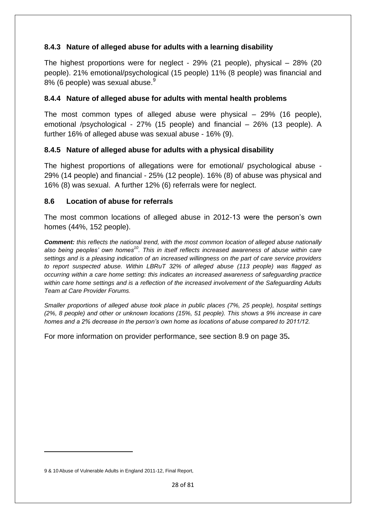# **8.4.3 Nature of alleged abuse for adults with a learning disability**

The highest proportions were for neglect - 29% (21 people), physical – 28% (20 people). 21% emotional/psychological (15 people) 11% (8 people) was financial and 8% (6 people) was sexual abuse.<sup>9</sup>

# **8.4.4 Nature of alleged abuse for adults with mental health problems**

The most common types of alleged abuse were physical – 29% (16 people), emotional /psychological - 27% (15 people) and financial – 26% (13 people). A further 16% of alleged abuse was sexual abuse - 16% (9).

## **8.4.5 Nature of alleged abuse for adults with a physical disability**

The highest proportions of allegations were for emotional/ psychological abuse - 29% (14 people) and financial - 25% (12 people). 16% (8) of abuse was physical and 16% (8) was sexual. A further 12% (6) referrals were for neglect.

#### **8.6 Location of abuse for referrals**

The most common locations of alleged abuse in 2012-13 were the person's own homes (44%, 152 people).

*Comment: this reflects the national trend, with the most common location of alleged abuse nationally also being peoples' own homes<sup>10</sup>. This in itself reflects increased awareness of abuse within care settings and is a pleasing indication of an increased willingness on the part of care service providers to report suspected abuse. Within LBRuT 32% of alleged abuse (113 people) was flagged as occurring within a care home setting: this indicates an increased awareness of safeguarding practice within care home settings and is a reflection of the increased involvement of the Safeguarding Adults Team at Care Provider Forums.*

*Smaller proportions of alleged abuse took place in public places (7%, 25 people), hospital settings (2%, 8 people) and other or unknown locations (15%, 51 people). This shows a 9% increase in care homes and a 2% decrease in the person's own home as locations of abuse compared to 2011/12.* 

For more information on provider performance, see section 8.9 on page 35**.**

 $\overline{a}$ 

<sup>9 &</sup>amp; 10 Abuse of Vulnerable Adults in England 2011-12, Final Report,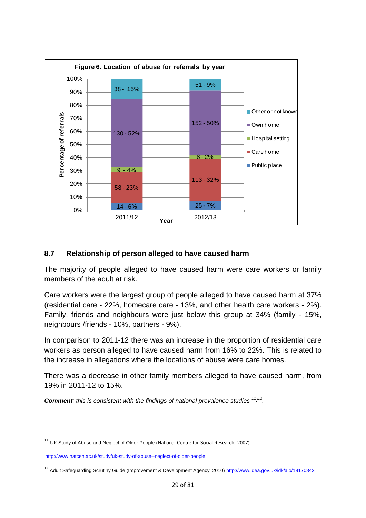

## **8.7 Relationship of person alleged to have caused harm**

The majority of people alleged to have caused harm were care workers or family members of the adult at risk.

Care workers were the largest group of people alleged to have caused harm at 37% (residential care - 22%, homecare care - 13%, and other health care workers - 2%). Family, friends and neighbours were just below this group at 34% (family - 15%, neighbours /friends - 10%, partners - 9%).

In comparison to 2011-12 there was an increase in the proportion of residential care workers as person alleged to have caused harm from 16% to 22%. This is related to the increase in allegations where the locations of abuse were care homes.

There was a decrease in other family members alleged to have caused harm, from 19% in 2011-12 to 15%.

*Comment: this is consistent with the findings of national prevalence studies* $\frac{11}{2}$ **.** 

**.** 

 $11$  UK Study of Abuse and Neglect of Older People (National Centre for Social Research, 2007)

<http://www.natcen.ac.uk/study/uk-study-of-abuse--neglect-of-older-people>

<sup>&</sup>lt;sup>12</sup> Adult Safeguarding Scrutiny Guide (Improvement & Development Agency, 2010)<http://www.idea.gov.uk/idk/aio/19170842>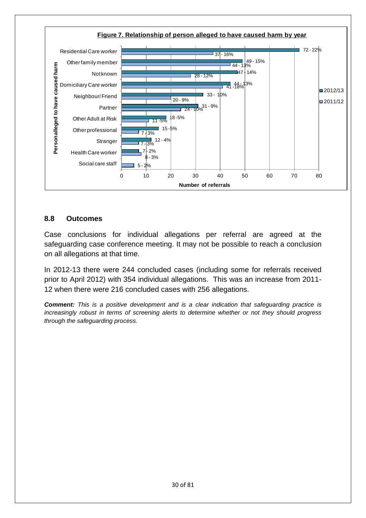

## **8.8 Outcomes**

Case conclusions for individual allegations per referral are agreed at the safeguarding case conference meeting. It may not be possible to reach a conclusion on all allegations at that time.

In 2012-13 there were 244 concluded cases (including some for referrals received prior to April 2012) with 354 individual allegations. This was an increase from 2011- 12 when there were 216 concluded cases with 256 allegations.

*Comment: This is a positive development and is a clear indication that safeguarding practice is increasingly robust in terms of screening alerts to determine whether or not they should progress through the safeguarding process.*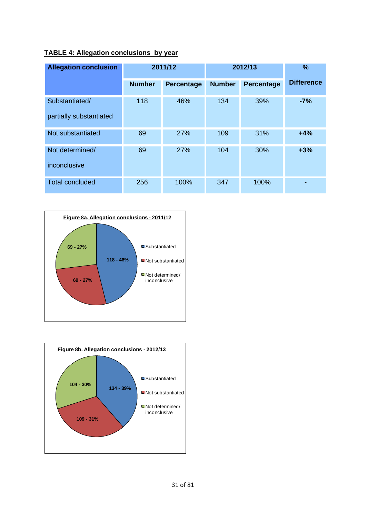# **TABLE 4: Allegation conclusions by year**

| <b>Allegation conclusion</b>              | 2011/12       |            | 2012/13       | %          |                   |
|-------------------------------------------|---------------|------------|---------------|------------|-------------------|
|                                           | <b>Number</b> | Percentage | <b>Number</b> | Percentage | <b>Difference</b> |
| Substantiated/<br>partially substantiated | 118           | 46%        | 134           | 39%        | $-7%$             |
| Not substantiated                         | 69            | 27%        | 109           | 31%        | $+4%$             |
| Not determined/<br>inconclusive           | 69            | 27%        | 104           | 30%        | $+3%$             |
| <b>Total concluded</b>                    | 256           | 100%       | 347           | 100%       |                   |



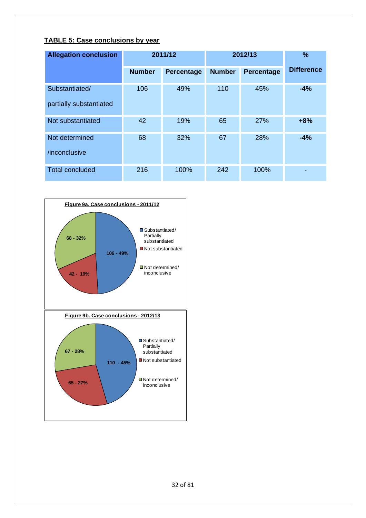## **TABLE 5: Case conclusions by year**

| <b>Allegation conclusion</b>              | 2011/12       |                   | 2012/13       |                   | %                 |
|-------------------------------------------|---------------|-------------------|---------------|-------------------|-------------------|
|                                           | <b>Number</b> | <b>Percentage</b> | <b>Number</b> | <b>Percentage</b> | <b>Difference</b> |
| Substantiated/<br>partially substantiated | 106           | 49%               | 110           | 45%               | $-4%$             |
| Not substantiated                         | 42            | 19%               | 65            | 27%               | $+8%$             |
| Not determined<br>/inconclusive           | 68            | 32%               | 67            | 28%               | $-4%$             |
| <b>Total concluded</b>                    | 216           | 100%              | 242           | 100%              |                   |

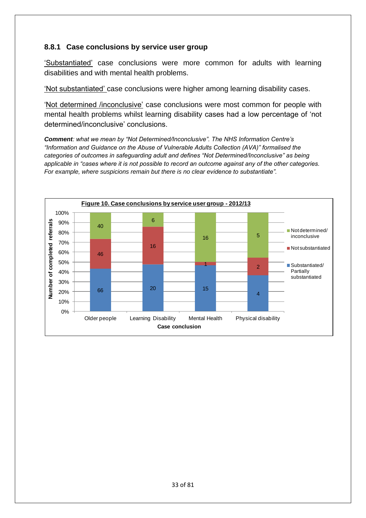# **8.8.1 Case conclusions by service user group**

'Substantiated' case conclusions were more common for adults with learning disabilities and with mental health problems.

'Not substantiated' case conclusions were higher among learning disability cases.

'Not determined /inconclusive' case conclusions were most common for people with mental health problems whilst learning disability cases had a low percentage of 'not determined/inconclusive' conclusions.

*Comment: what we mean by "Not Determined/Inconclusive". The NHS Information Centre's "Information and Guidance on the Abuse of Vulnerable Adults Collection (AVA)" formalised the categories of outcomes in safeguarding adult and defines "Not Determined/Inconclusive" as being applicable in "cases where it is not possible to record an outcome against any of the other categories. For example, where suspicions remain but there is no clear evidence to substantiate".* 

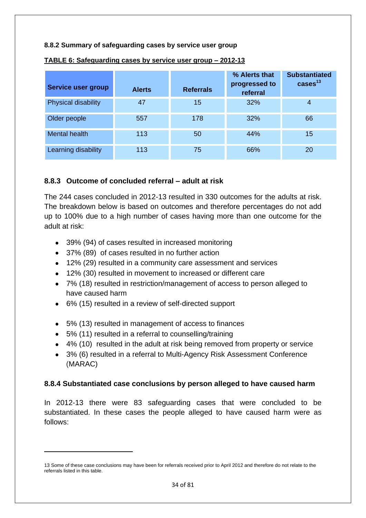#### **8.8.2 Summary of safeguarding cases by service user group**

| Service user group  | <b>Alerts</b> | <b>Referrals</b> | % Alerts that<br>progressed to<br>referral | <b>Substantiated</b><br>$\cases13$ |
|---------------------|---------------|------------------|--------------------------------------------|------------------------------------|
| Physical disability | 47            | 15               | 32%                                        | 4                                  |
| Older people        | 557           | 178              | 32%                                        | 66                                 |
| Mental health       | 113           | 50               | 44%                                        | 15                                 |
| Learning disability | 113           | 75               | 66%                                        | 20                                 |

#### **TABLE 6: Safeguarding cases by service user group – 2012-13**

## **8.8.3 Outcome of concluded referral – adult at risk**

The 244 cases concluded in 2012-13 resulted in 330 outcomes for the adults at risk. The breakdown below is based on outcomes and therefore percentages do not add up to 100% due to a high number of cases having more than one outcome for the adult at risk:

- 39% (94) of cases resulted in increased monitoring
- 37% (89) of cases resulted in no further action
- 12% (29) resulted in a community care assessment and services
- 12% (30) resulted in movement to increased or different care
- 7% (18) resulted in restriction/management of access to person alleged to have caused harm
- 6% (15) resulted in a review of self-directed support
- 5% (13) resulted in management of access to finances
- 5% (11) resulted in a referral to counselling/training

 $\overline{a}$ 

- 4% (10) resulted in the adult at risk being removed from property or service
- 3% (6) resulted in a referral to Multi-Agency Risk Assessment Conference (MARAC)

# **8.8.4 Substantiated case conclusions by person alleged to have caused harm**

In 2012-13 there were 83 safeguarding cases that were concluded to be substantiated. In these cases the people alleged to have caused harm were as follows:

<sup>13</sup> Some of these case conclusions may have been for referrals received prior to April 2012 and therefore do not relate to the referrals listed in this table.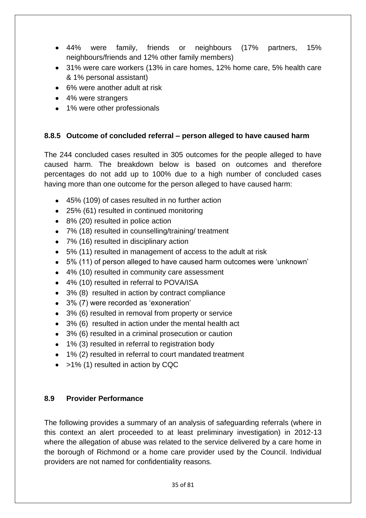- 44% were family, friends or neighbours (17% partners, 15% neighbours/friends and 12% other family members)
- 31% were care workers (13% in care homes, 12% home care, 5% health care & 1% personal assistant)
- 6% were another adult at risk
- 4% were strangers
- 1% were other professionals

# **8.8.5 Outcome of concluded referral – person alleged to have caused harm**

The 244 concluded cases resulted in 305 outcomes for the people alleged to have caused harm. The breakdown below is based on outcomes and therefore percentages do not add up to 100% due to a high number of concluded cases having more than one outcome for the person alleged to have caused harm:

- 45% (109) of cases resulted in no further action
- 25% (61) resulted in continued monitoring
- 8% (20) resulted in police action
- 7% (18) resulted in counselling/training/ treatment
- 7% (16) resulted in disciplinary action
- 5% (11) resulted in management of access to the adult at risk
- 5% (11) of person alleged to have caused harm outcomes were 'unknown'
- 4% (10) resulted in community care assessment
- 4% (10) resulted in referral to POVA/ISA
- 3% (8) resulted in action by contract compliance
- 3% (7) were recorded as 'exoneration'
- 3% (6) resulted in removal from property or service
- 3% (6) resulted in action under the mental health act
- 3% (6) resulted in a criminal prosecution or caution
- 1% (3) resulted in referral to registration body
- 1% (2) resulted in referral to court mandated treatment
- $\bullet$  >1% (1) resulted in action by CQC

# **8.9 Provider Performance**

The following provides a summary of an analysis of safeguarding referrals (where in this context an alert proceeded to at least preliminary investigation) in 2012-13 where the allegation of abuse was related to the service delivered by a care home in the borough of Richmond or a home care provider used by the Council. Individual providers are not named for confidentiality reasons.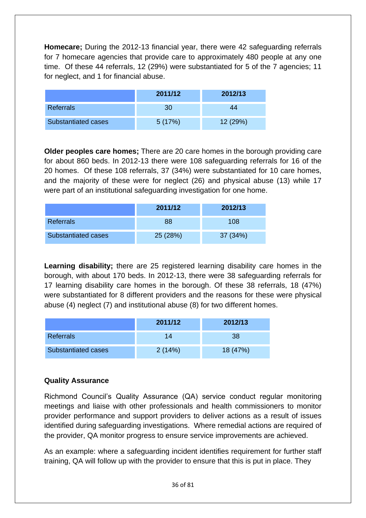**Homecare;** During the 2012-13 financial year, there were 42 safeguarding referrals for 7 homecare agencies that provide care to approximately 480 people at any one time. Of these 44 referrals, 12 (29%) were substantiated for 5 of the 7 agencies; 11 for neglect, and 1 for financial abuse.

|                     | 2011/12 | 2012/13  |
|---------------------|---------|----------|
| <b>Referrals</b>    | 30      | 44       |
| Substantiated cases | 5(17%)  | 12 (29%) |

**Older peoples care homes;** There are 20 care homes in the borough providing care for about 860 beds. In 2012-13 there were 108 safeguarding referrals for 16 of the 20 homes. Of these 108 referrals, 37 (34%) were substantiated for 10 care homes, and the majority of these were for neglect (26) and physical abuse (13) while 17 were part of an institutional safeguarding investigation for one home.

|                     | 2011/12  | 2012/13  |
|---------------------|----------|----------|
| <b>Referrals</b>    | 88       | 108      |
| Substantiated cases | 25 (28%) | 37 (34%) |

**Learning disability;** there are 25 registered learning disability care homes in the borough, with about 170 beds. In 2012-13, there were 38 safeguarding referrals for 17 learning disability care homes in the borough. Of these 38 referrals, 18 (47%) were substantiated for 8 different providers and the reasons for these were physical abuse (4) neglect (7) and institutional abuse (8) for two different homes.

|                     | 2011/12 | 2012/13  |
|---------------------|---------|----------|
| <b>Referrals</b>    | 14      | 38       |
| Substantiated cases | 2(14%)  | 18 (47%) |

# **Quality Assurance**

Richmond Council's Quality Assurance (QA) service conduct regular monitoring meetings and liaise with other professionals and health commissioners to monitor provider performance and support providers to deliver actions as a result of issues identified during safeguarding investigations. Where remedial actions are required of the provider, QA monitor progress to ensure service improvements are achieved.

As an example: where a safeguarding incident identifies requirement for further staff training, QA will follow up with the provider to ensure that this is put in place. They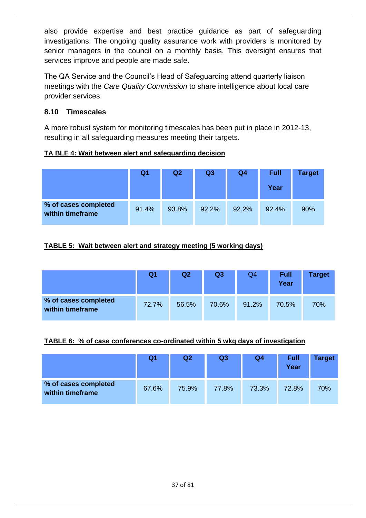also provide expertise and best practice guidance as part of safeguarding investigations. The ongoing quality assurance work with providers is monitored by senior managers in the council on a monthly basis. This oversight ensures that services improve and people are made safe.

The QA Service and the Council's Head of Safeguarding attend quarterly liaison meetings with the *Care Quality Commission* to share intelligence about local care provider services.

# **8.10 Timescales**

A more robust system for monitoring timescales has been put in place in 2012-13, resulting in all safeguarding measures meeting their targets.

### **TA BLE 4: Wait between alert and safeguarding decision**

|                                          | Q1    | Q2    | Q <sub>3</sub> | Q <sub>4</sub> | <b>Full</b><br>Year | <b>Target</b> |
|------------------------------------------|-------|-------|----------------|----------------|---------------------|---------------|
| % of cases completed<br>within timeframe | 91.4% | 93.8% | 92.2%          | 92.2%          | 92.4%               | 90%           |

### **TABLE 5: Wait between alert and strategy meeting (5 working days)**

|                                          | Q <sub>1</sub> | Q2    | Q <sub>3</sub> | Q4    | <b>Full</b><br>Year | <b>Target</b> |
|------------------------------------------|----------------|-------|----------------|-------|---------------------|---------------|
| % of cases completed<br>within timeframe | 72.7%          | 56.5% | 70.6%          | 91.2% | 70.5%               | 70%           |

#### **TABLE 6: % of case conferences co-ordinated within 5 wkg days of investigation**

|                                          | Q1    | Q <sub>2</sub> | Q <sub>3</sub> | Q <sub>4</sub> | <b>Full</b><br>Year | <b>Target</b> |
|------------------------------------------|-------|----------------|----------------|----------------|---------------------|---------------|
| % of cases completed<br>within timeframe | 67.6% | 75.9%          | 77.8%          | 73.3%          | 72.8%               | 70%           |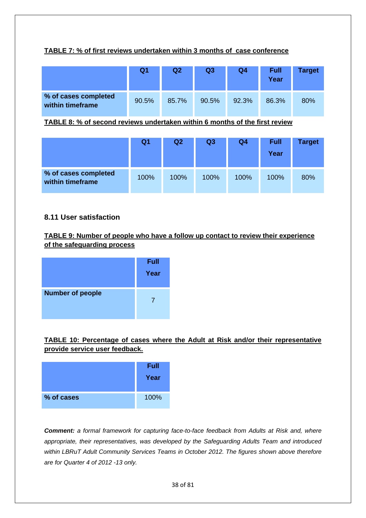#### **TABLE 7: % of first reviews undertaken within 3 months of case conference**

|                                          | Q <sub>1</sub> | Q2    | Q <sub>3</sub> | Q4    | <b>Full</b><br>Year | <b>Target</b> |
|------------------------------------------|----------------|-------|----------------|-------|---------------------|---------------|
| % of cases completed<br>within timeframe | 90.5%          | 85.7% | 90.5%          | 92.3% | 86.3%               | 80%           |

#### **TABLE 8: % of second reviews undertaken within 6 months of the first review**

|                                          | Q1   | Q2   | Q <sub>3</sub> | Q <sub>4</sub> | <b>Full</b><br>Year | <b>Target</b> |
|------------------------------------------|------|------|----------------|----------------|---------------------|---------------|
| % of cases completed<br>within timeframe | 100% | 100% | 100%           | 100%           | 100%                | 80%           |

#### **8.11 User satisfaction**

#### **TABLE 9: Number of people who have a follow up contact to review their experience of the safeguarding process**



#### **TABLE 10: Percentage of cases where the Adult at Risk and/or their representative provide service user feedback.**



*Comment: a formal framework for capturing face-to-face feedback from Adults at Risk and, where appropriate, their representatives, was developed by the Safeguarding Adults Team and introduced within LBRuT Adult Community Services Teams in October 2012. The figures shown above therefore are for Quarter 4 of 2012 -13 only.*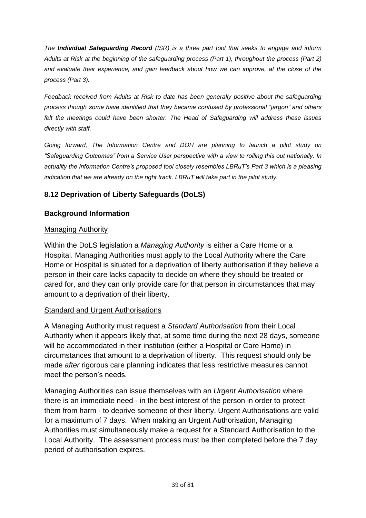*The Individual Safeguarding Record (ISR) is a three part tool that seeks to engage and inform Adults at Risk at the beginning of the safeguarding process (Part 1), throughout the process (Part 2) and evaluate their experience, and gain feedback about how we can improve, at the close of the process (Part 3).* 

*Feedback received from Adults at Risk to date has been generally positive about the safeguarding process though some have identified that they became confused by professional "jargon" and others*  felt the meetings could have been shorter. The Head of Safeguarding will address these issues *directly with staff.*

*Going forward, The Information Centre and DOH are planning to launch a pilot study on "Safeguarding Outcomes" from a Service User perspective with a view to rolling this out nationally. In actuality the Information Centre's proposed tool closely resembles LBRuT's Part 3 which is a pleasing indication that we are already on the right track. LBRuT will take part in the pilot study.*

# **8.12 Deprivation of Liberty Safeguards (DoLS)**

# **Background Information**

### Managing Authority

Within the DoLS legislation a *Managing Authority* is either a Care Home or a Hospital. Managing Authorities must apply to the Local Authority where the Care Home or Hospital is situated for a deprivation of liberty authorisation if they believe a person in their care lacks capacity to decide on where they should be treated or cared for, and they can only provide care for that person in circumstances that may amount to a deprivation of their liberty.

### Standard and Urgent Authorisations

A Managing Authority must request a *Standard Authorisation* from their Local Authority when it appears likely that, at some time during the next 28 days, someone will be accommodated in their institution (either a Hospital or Care Home) in circumstances that amount to a deprivation of liberty. This request should only be made *after* rigorous care planning indicates that less restrictive measures cannot meet the person's needs.

Managing Authorities can issue themselves with an *Urgent Authorisation* where there is an immediate need - in the best interest of the person in order to protect them from harm - to deprive someone of their liberty. Urgent Authorisations are valid for a maximum of 7 days. When making an Urgent Authorisation, Managing Authorities must simultaneously make a request for a Standard Authorisation to the Local Authority. The assessment process must be then completed before the 7 day period of authorisation expires.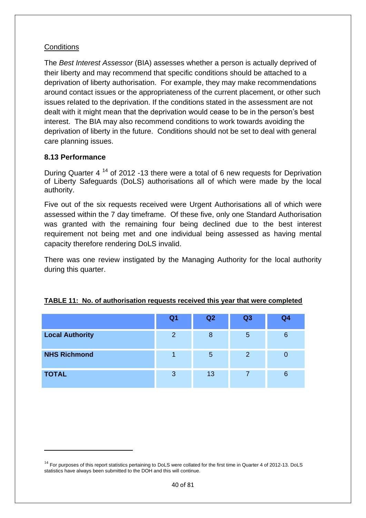### **Conditions**

The *Best Interest Assessor* (BIA) assesses whether a person is actually deprived of their liberty and may recommend that specific conditions should be attached to a deprivation of liberty authorisation. For example, they may make recommendations around contact issues or the appropriateness of the current placement, or other such issues related to the deprivation. If the conditions stated in the assessment are not dealt with it might mean that the deprivation would cease to be in the person's best interest. The BIA may also recommend conditions to work towards avoiding the deprivation of liberty in the future. Conditions should not be set to deal with general care planning issues.

#### **8.13 Performance**

1

During Quarter 4 <sup>14</sup> of 2012 -13 there were a total of 6 new requests for Deprivation of Liberty Safeguards (DoLS) authorisations all of which were made by the local authority.

Five out of the six requests received were Urgent Authorisations all of which were assessed within the 7 day timeframe. Of these five, only one Standard Authorisation was granted with the remaining four being declined due to the best interest requirement not being met and one individual being assessed as having mental capacity therefore rendering DoLS invalid.

There was one review instigated by the Managing Authority for the local authority during this quarter.

|                        | Q <sub>1</sub> | Q2 | Q3             | Q <sub>4</sub> |
|------------------------|----------------|----|----------------|----------------|
| <b>Local Authority</b> | $\overline{2}$ | 8  | 5              | 6              |
| <b>NHS Richmond</b>    |                | 5  | $\overline{2}$ |                |
| <b>TOTAL</b>           | 3              | 13 | ⇁              |                |

### **TABLE 11: No. of authorisation requests received this year that were completed**

 $14$  For purposes of this report statistics pertaining to DoLS were collated for the first time in Quarter 4 of 2012-13. DoLS statistics have always been submitted to the DOH and this will continue.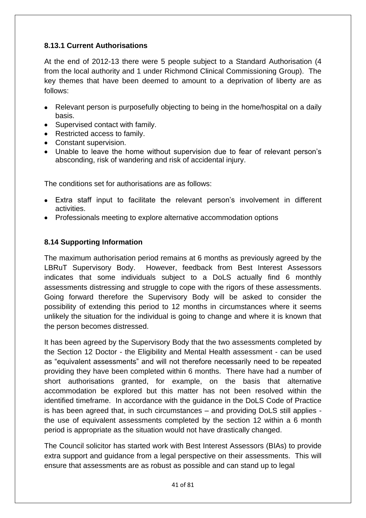### **8.13.1 Current Authorisations**

At the end of 2012-13 there were 5 people subject to a Standard Authorisation (4 from the local authority and 1 under Richmond Clinical Commissioning Group). The key themes that have been deemed to amount to a deprivation of liberty are as follows:

- Relevant person is purposefully objecting to being in the home/hospital on a daily basis.
- Supervised contact with family.
- Restricted access to family.
- Constant supervision.
- Unable to leave the home without supervision due to fear of relevant person's absconding, risk of wandering and risk of accidental injury.

The conditions set for authorisations are as follows:

- Extra staff input to facilitate the relevant person's involvement in different activities.
- Professionals meeting to explore alternative accommodation options

### **8.14 Supporting Information**

The maximum authorisation period remains at 6 months as previously agreed by the LBRuT Supervisory Body. However, feedback from Best Interest Assessors indicates that some individuals subject to a DoLS actually find 6 monthly assessments distressing and struggle to cope with the rigors of these assessments. Going forward therefore the Supervisory Body will be asked to consider the possibility of extending this period to 12 months in circumstances where it seems unlikely the situation for the individual is going to change and where it is known that the person becomes distressed.

It has been agreed by the Supervisory Body that the two assessments completed by the Section 12 Doctor - the Eligibility and Mental Health assessment - can be used as "equivalent assessments" and will not therefore necessarily need to be repeated providing they have been completed within 6 months. There have had a number of short authorisations granted, for example, on the basis that alternative accommodation be explored but this matter has not been resolved within the identified timeframe. In accordance with the guidance in the DoLS Code of Practice is has been agreed that, in such circumstances – and providing DoLS still applies the use of equivalent assessments completed by the section 12 within a 6 month period is appropriate as the situation would not have drastically changed.

The Council solicitor has started work with Best Interest Assessors (BIAs) to provide extra support and guidance from a legal perspective on their assessments. This will ensure that assessments are as robust as possible and can stand up to legal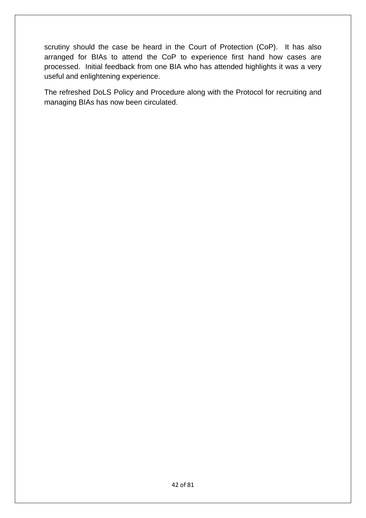scrutiny should the case be heard in the Court of Protection (CoP). It has also arranged for BIAs to attend the CoP to experience first hand how cases are processed. Initial feedback from one BIA who has attended highlights it was a very useful and enlightening experience.

The refreshed DoLS Policy and Procedure along with the Protocol for recruiting and managing BIAs has now been circulated.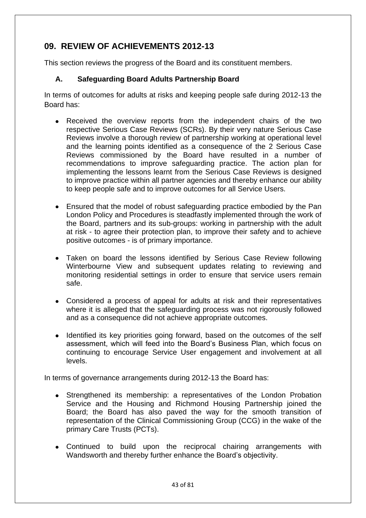# **09. REVIEW OF ACHIEVEMENTS 2012-13**

This section reviews the progress of the Board and its constituent members.

# **A. Safeguarding Board Adults Partnership Board**

In terms of outcomes for adults at risks and keeping people safe during 2012-13 the Board has:

- Received the overview reports from the independent chairs of the two  $\bullet$ respective Serious Case Reviews (SCRs). By their very nature Serious Case Reviews involve a thorough review of partnership working at operational level and the learning points identified as a consequence of the 2 Serious Case Reviews commissioned by the Board have resulted in a number of recommendations to improve safeguarding practice. The action plan for implementing the lessons learnt from the Serious Case Reviews is designed to improve practice within all partner agencies and thereby enhance our ability to keep people safe and to improve outcomes for all Service Users.
- Ensured that the model of robust safeguarding practice embodied by the Pan London Policy and Procedures is steadfastly implemented through the work of the Board, partners and its sub-groups: working in partnership with the adult at risk - to agree their protection plan, to improve their safety and to achieve positive outcomes - is of primary importance.
- Taken on board the lessons identified by Serious Case Review following  $\bullet$ Winterbourne View and subsequent updates relating to reviewing and monitoring residential settings in order to ensure that service users remain safe.
- Considered a process of appeal for adults at risk and their representatives  $\bullet$ where it is alleged that the safeguarding process was not rigorously followed and as a consequence did not achieve appropriate outcomes.
- Identified its key priorities going forward, based on the outcomes of the self  $\bullet$ assessment, which will feed into the Board's Business Plan, which focus on continuing to encourage Service User engagement and involvement at all levels.

In terms of governance arrangements during 2012-13 the Board has:

- Strengthened its membership: a representatives of the London Probation  $\bullet$ Service and the Housing and Richmond Housing Partnership joined the Board; the Board has also paved the way for the smooth transition of representation of the Clinical Commissioning Group (CCG) in the wake of the primary Care Trusts (PCTs).
- Continued to build upon the reciprocal chairing arrangements with Wandsworth and thereby further enhance the Board's objectivity.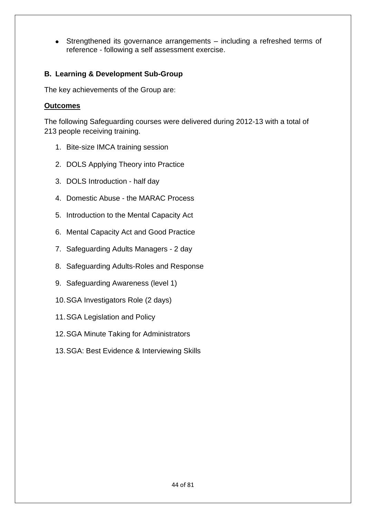Strengthened its governance arrangements – including a refreshed terms of  $\bullet$ reference - following a self assessment exercise.

### **B. Learning & Development Sub-Group**

The key achievements of the Group are:

### **Outcomes**

The following Safeguarding courses were delivered during 2012-13 with a total of 213 people receiving training.

- 1. Bite-size IMCA training session
- 2. DOLS Applying Theory into Practice
- 3. DOLS Introduction half day
- 4. Domestic Abuse the MARAC Process
- 5. Introduction to the Mental Capacity Act
- 6. Mental Capacity Act and Good Practice
- 7. Safeguarding Adults Managers 2 day
- 8. Safeguarding Adults-Roles and Response
- 9. Safeguarding Awareness (level 1)
- 10.SGA Investigators Role (2 days)
- 11.SGA Legislation and Policy
- 12.SGA Minute Taking for Administrators
- 13.SGA: Best Evidence & Interviewing Skills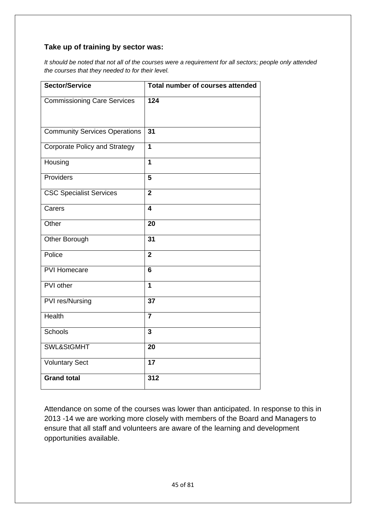### **Take up of training by sector was:**

*It should be noted that not all of the courses were a requirement for all sectors; people only attended the courses that they needed to for their level.*

| <b>Sector/Service</b>                | Total number of courses attended |
|--------------------------------------|----------------------------------|
| <b>Commissioning Care Services</b>   | 124                              |
|                                      |                                  |
| <b>Community Services Operations</b> | 31                               |
| <b>Corporate Policy and Strategy</b> | $\overline{1}$                   |
| Housing                              | 1                                |
| Providers                            | 5                                |
| <b>CSC Specialist Services</b>       | $\overline{2}$                   |
| Carers                               | $\overline{\mathbf{4}}$          |
| Other                                | 20                               |
| Other Borough                        | 31                               |
| Police                               | $\overline{2}$                   |
| <b>PVI Homecare</b>                  | $6\phantom{1}6$                  |
| PVI other                            | $\overline{1}$                   |
| PVI res/Nursing                      | $\overline{37}$                  |
| <b>Health</b>                        | $\overline{\mathbf{7}}$          |
| <b>Schools</b>                       | $\overline{\mathbf{3}}$          |
| SWL&StGMHT                           | 20                               |
| <b>Voluntary Sect</b>                | 17                               |
| <b>Grand total</b>                   | 312                              |

Attendance on some of the courses was lower than anticipated. In response to this in 2013 -14 we are working more closely with members of the Board and Managers to ensure that all staff and volunteers are aware of the learning and development opportunities available.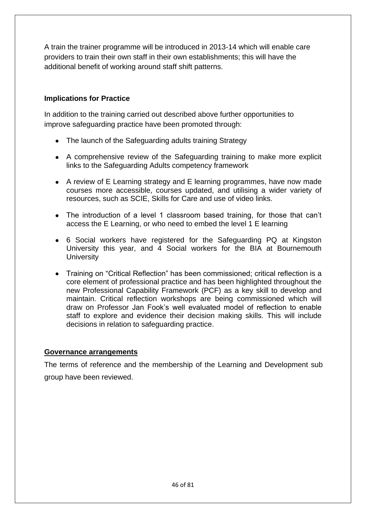A train the trainer programme will be introduced in 2013-14 which will enable care providers to train their own staff in their own establishments; this will have the additional benefit of working around staff shift patterns.

### **Implications for Practice**

In addition to the training carried out described above further opportunities to improve safeguarding practice have been promoted through:

- The launch of the Safeguarding adults training Strategy
- A comprehensive review of the Safeguarding training to make more explicit links to the Safeguarding Adults competency framework
- A review of E Learning strategy and E learning programmes, have now made courses more accessible, courses updated, and utilising a wider variety of resources, such as SCIE, Skills for Care and use of video links.
- The introduction of a level 1 classroom based training, for those that can't access the E Learning, or who need to embed the level 1 E learning
- 6 Social workers have registered for the Safeguarding PQ at Kingston University this year, and 4 Social workers for the BIA at Bournemouth **University**
- Training on "Critical Reflection" has been commissioned; critical reflection is a core element of professional practice and has been highlighted throughout the new Professional Capability Framework (PCF) as a key skill to develop and maintain. Critical reflection workshops are being commissioned which will draw on Professor Jan Fook's well evaluated model of reflection to enable staff to explore and evidence their decision making skills. This will include decisions in relation to safeguarding practice.

#### **Governance arrangements**

The terms of reference and the membership of the Learning and Development sub group have been reviewed.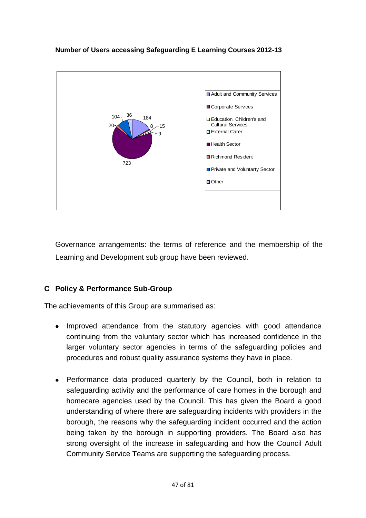### **Number of Users accessing Safeguarding E Learning Courses 2012-13**



Governance arrangements: the terms of reference and the membership of the Learning and Development sub group have been reviewed.

### **C Policy & Performance Sub-Group**

The achievements of this Group are summarised as:

- Improved attendance from the statutory agencies with good attendance continuing from the voluntary sector which has increased confidence in the larger voluntary sector agencies in terms of the safeguarding policies and procedures and robust quality assurance systems they have in place.
- Performance data produced quarterly by the Council, both in relation to safeguarding activity and the performance of care homes in the borough and homecare agencies used by the Council. This has given the Board a good understanding of where there are safeguarding incidents with providers in the borough, the reasons why the safeguarding incident occurred and the action being taken by the borough in supporting providers. The Board also has strong oversight of the increase in safeguarding and how the Council Adult Community Service Teams are supporting the safeguarding process.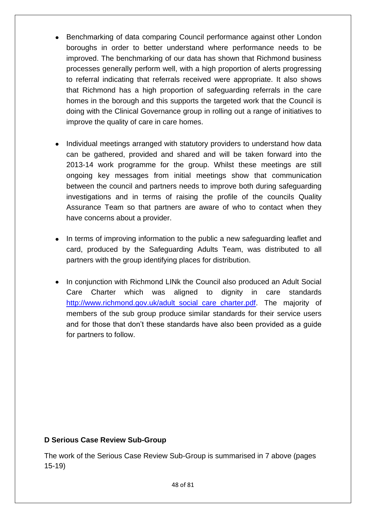- Benchmarking of data comparing Council performance against other London  $\bullet$ boroughs in order to better understand where performance needs to be improved. The benchmarking of our data has shown that Richmond business processes generally perform well, with a high proportion of alerts progressing to referral indicating that referrals received were appropriate. It also shows that Richmond has a high proportion of safeguarding referrals in the care homes in the borough and this supports the targeted work that the Council is doing with the Clinical Governance group in rolling out a range of initiatives to improve the quality of care in care homes.
- Individual meetings arranged with statutory providers to understand how data  $\bullet$ can be gathered, provided and shared and will be taken forward into the 2013-14 work programme for the group. Whilst these meetings are still ongoing key messages from initial meetings show that communication between the council and partners needs to improve both during safeguarding investigations and in terms of raising the profile of the councils Quality Assurance Team so that partners are aware of who to contact when they have concerns about a provider.
- In terms of improving information to the public a new safeguarding leaflet and card, produced by the Safeguarding Adults Team, was distributed to all partners with the group identifying places for distribution.
- In conjunction with Richmond LINk the Council also produced an Adult Social Care Charter which was aligned to dignity in care standards [http://www.richmond.gov.uk/adult\\_social\\_care\\_charter.pdf.](http://www.richmond.gov.uk/adult_social_care_charter.pdf) The majority of members of the sub group produce similar standards for their service users and for those that don't these standards have also been provided as a guide for partners to follow.

### **D Serious Case Review Sub-Group**

The work of the Serious Case Review Sub-Group is summarised in 7 above (pages 15-19)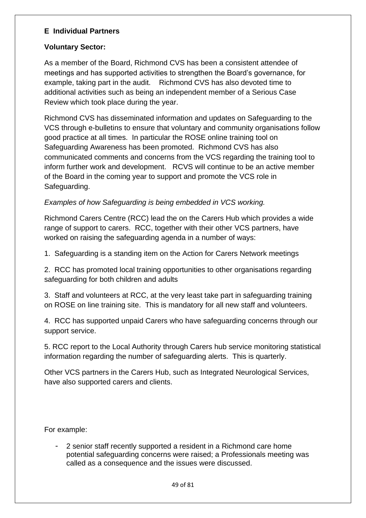### **E Individual Partners**

### **Voluntary Sector:**

As a member of the Board, Richmond CVS has been a consistent attendee of meetings and has supported activities to strengthen the Board's governance, for example, taking part in the audit. Richmond CVS has also devoted time to additional activities such as being an independent member of a Serious Case Review which took place during the year.

Richmond CVS has disseminated information and updates on Safeguarding to the VCS through e-bulletins to ensure that voluntary and community organisations follow good practice at all times. In particular the ROSE online training tool on Safeguarding Awareness has been promoted. Richmond CVS has also communicated comments and concerns from the VCS regarding the training tool to inform further work and development. RCVS will continue to be an active member of the Board in the coming year to support and promote the VCS role in Safeguarding.

### *Examples of how Safeguarding is being embedded in VCS working.*

Richmond Carers Centre (RCC) lead the on the Carers Hub which provides a wide range of support to carers. RCC, together with their other VCS partners, have worked on raising the safeguarding agenda in a number of ways:

1. Safeguarding is a standing item on the Action for Carers Network meetings

2. RCC has promoted local training opportunities to other organisations regarding safeguarding for both children and adults

3. Staff and volunteers at RCC, at the very least take part in safeguarding training on ROSE on line training site. This is mandatory for all new staff and volunteers.

4. RCC has supported unpaid Carers who have safeguarding concerns through our support service.

5. RCC report to the Local Authority through Carers hub service monitoring statistical information regarding the number of safeguarding alerts. This is quarterly.

Other VCS partners in the Carers Hub, such as Integrated Neurological Services, have also supported carers and clients.

For example:

- 2 senior staff recently supported a resident in a Richmond care home potential safeguarding concerns were raised; a Professionals meeting was called as a consequence and the issues were discussed.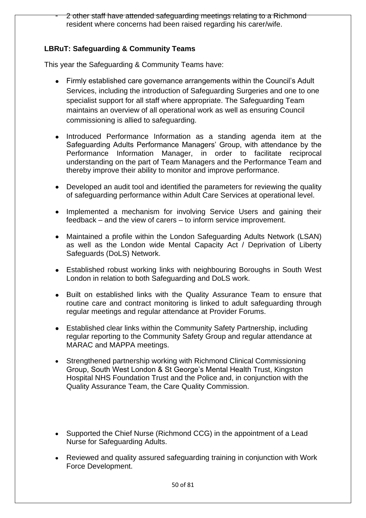2 other staff have attended safeguarding meetings relating to a Richmond resident where concerns had been raised regarding his carer/wife.

### **LBRuT: Safeguarding & Community Teams**

This year the Safeguarding & Community Teams have:

- Firmly established care governance arrangements within the Council's Adult Services, including the introduction of Safeguarding Surgeries and one to one specialist support for all staff where appropriate. The Safeguarding Team maintains an overview of all operational work as well as ensuring Council commissioning is allied to safeguarding.
- Introduced Performance Information as a standing agenda item at the Safeguarding Adults Performance Managers' Group, with attendance by the Performance Information Manager, in order to facilitate reciprocal understanding on the part of Team Managers and the Performance Team and thereby improve their ability to monitor and improve performance.
- Developed an audit tool and identified the parameters for reviewing the quality of safeguarding performance within Adult Care Services at operational level.
- Implemented a mechanism for involving Service Users and gaining their feedback – and the view of carers – to inform service improvement.
- Maintained a profile within the London Safeguarding Adults Network (LSAN) as well as the London wide Mental Capacity Act / Deprivation of Liberty Safeguards (DoLS) Network.
- Established robust working links with neighbouring Boroughs in South West London in relation to both Safeguarding and DoLS work.
- Built on established links with the Quality Assurance Team to ensure that routine care and contract monitoring is linked to adult safeguarding through regular meetings and regular attendance at Provider Forums.
- $\bullet$ Established clear links within the Community Safety Partnership, including regular reporting to the Community Safety Group and regular attendance at MARAC and MAPPA meetings.
- Strengthened partnership working with Richmond Clinical Commissioning  $\bullet$ Group, South West London & St George's Mental Health Trust, Kingston Hospital NHS Foundation Trust and the Police and, in conjunction with the Quality Assurance Team, the Care Quality Commission.
- $\bullet$ Supported the Chief Nurse (Richmond CCG) in the appointment of a Lead Nurse for Safeguarding Adults.
- Reviewed and quality assured safeguarding training in conjunction with Work Force Development.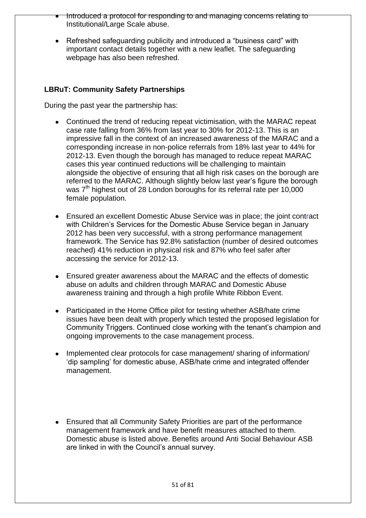- Introduced a protocol for responding to and managing concerns relating to Institutional/Large Scale abuse.
- Refreshed safeguarding publicity and introduced a "business card" with important contact details together with a new leaflet. The safeguarding webpage has also been refreshed.

### **LBRuT: Community Safety Partnerships**

During the past year the partnership has:

- Continued the trend of reducing repeat victimisation, with the MARAC repeat case rate falling from 36% from last year to 30% for 2012-13. This is an impressive fall in the context of an increased awareness of the MARAC and a corresponding increase in non-police referrals from 18% last year to 44% for 2012-13. Even though the borough has managed to reduce repeat MARAC cases this year continued reductions will be challenging to maintain alongside the objective of ensuring that all high risk cases on the borough are referred to the MARAC. Although slightly below last year's figure the borough was  $7<sup>th</sup>$  highest out of 28 London boroughs for its referral rate per 10,000 female population.
- Ensured an excellent Domestic Abuse Service was in place; the joint contract with Children's Services for the Domestic Abuse Service began in January 2012 has been very successful, with a strong performance management framework. The Service has 92.8% satisfaction (number of desired outcomes reached) 41% reduction in physical risk and 87% who feel safer after accessing the service for 2012-13.
- Ensured greater awareness about the MARAC and the effects of domestic abuse on adults and children through MARAC and Domestic Abuse awareness training and through a high profile White Ribbon Event.
- Participated in the Home Office pilot for testing whether ASB/hate crime issues have been dealt with properly which tested the proposed legislation for Community Triggers. Continued close working with the tenant's champion and ongoing improvements to the case management process.
- Implemented clear protocols for case management/ sharing of information/ 'dip sampling' for domestic abuse, ASB/hate crime and integrated offender management.
- Ensured that all Community Safety Priorities are part of the performance management framework and have benefit measures attached to them. Domestic abuse is listed above. Benefits around Anti Social Behaviour ASB are linked in with the Council's annual survey.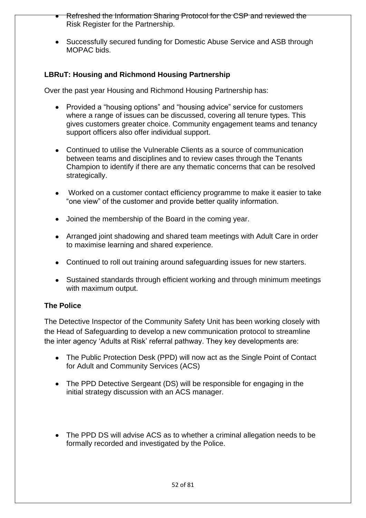- Refreshed the Information Sharing Protocol for the CSP and reviewed the Risk Register for the Partnership.
- Successfully secured funding for Domestic Abuse Service and ASB through MOPAC bids.

# **LBRuT: Housing and Richmond Housing Partnership**

Over the past year Housing and Richmond Housing Partnership has:

- Provided a "housing options" and "housing advice" service for customers where a range of issues can be discussed, covering all tenure types. This gives customers greater choice. Community engagement teams and tenancy support officers also offer individual support.
- Continued to utilise the Vulnerable Clients as a source of communication between teams and disciplines and to review cases through the Tenants Champion to identify if there are any thematic concerns that can be resolved strategically.
- Worked on a customer contact efficiency programme to make it easier to take "one view" of the customer and provide better quality information.
- Joined the membership of the Board in the coming year.
- Arranged joint shadowing and shared team meetings with Adult Care in order to maximise learning and shared experience.
- Continued to roll out training around safeguarding issues for new starters.
- Sustained standards through efficient working and through minimum meetings with maximum output.

### **The Police**

The Detective Inspector of the Community Safety Unit has been working closely with the Head of Safeguarding to develop a new communication protocol to streamline the inter agency 'Adults at Risk' referral pathway. They key developments are:

- The Public Protection Desk (PPD) will now act as the Single Point of Contact for Adult and Community Services (ACS)
- The PPD Detective Sergeant (DS) will be responsible for engaging in the initial strategy discussion with an ACS manager.
- The PPD DS will advise ACS as to whether a criminal allegation needs to be formally recorded and investigated by the Police.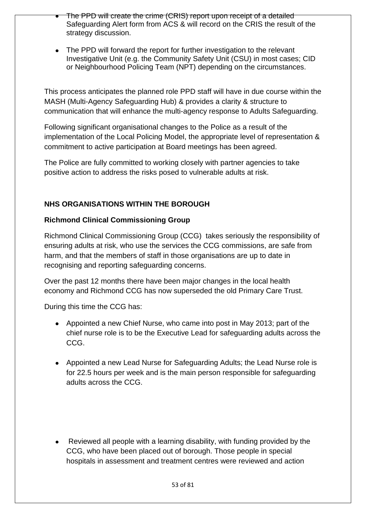- The PPD will create the crime (CRIS) report upon receipt of a detailed Safeguarding Alert form from ACS & will record on the CRIS the result of the strategy discussion.
- The PPD will forward the report for further investigation to the relevant Investigative Unit (e.g. the Community Safety Unit (CSU) in most cases; CID or Neighbourhood Policing Team (NPT) depending on the circumstances.

This process anticipates the planned role PPD staff will have in due course within the MASH (Multi-Agency Safeguarding Hub) & provides a clarity & structure to communication that will enhance the multi-agency response to Adults Safeguarding.

Following significant organisational changes to the Police as a result of the implementation of the Local Policing Model, the appropriate level of representation & commitment to active participation at Board meetings has been agreed.

The Police are fully committed to working closely with partner agencies to take positive action to address the risks posed to vulnerable adults at risk.

# **NHS ORGANISATIONS WITHIN THE BOROUGH**

### **Richmond Clinical Commissioning Group**

Richmond Clinical Commissioning Group (CCG) takes seriously the responsibility of ensuring adults at risk, who use the services the CCG commissions, are safe from harm, and that the members of staff in those organisations are up to date in recognising and reporting safeguarding concerns.

Over the past 12 months there have been major changes in the local health economy and Richmond CCG has now superseded the old Primary Care Trust.

During this time the CCG has:

- Appointed a new Chief Nurse, who came into post in May 2013; part of the chief nurse role is to be the Executive Lead for safeguarding adults across the CCG.
- Appointed a new Lead Nurse for Safeguarding Adults; the Lead Nurse role is for 22.5 hours per week and is the main person responsible for safeguarding adults across the CCG.
- Reviewed all people with a learning disability, with funding provided by the CCG, who have been placed out of borough. Those people in special hospitals in assessment and treatment centres were reviewed and action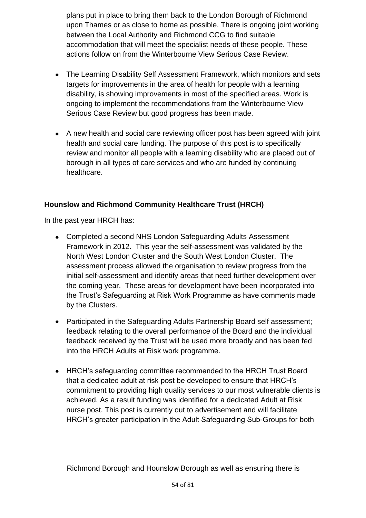plans put in place to bring them back to the London Borough of Richmond upon Thames or as close to home as possible. There is ongoing joint working between the Local Authority and Richmond CCG to find suitable accommodation that will meet the specialist needs of these people. These actions follow on from the Winterbourne View Serious Case Review.

- The Learning Disability Self Assessment Framework, which monitors and sets targets for improvements in the area of health for people with a learning disability, is showing improvements in most of the specified areas. Work is ongoing to implement the recommendations from the Winterbourne View Serious Case Review but good progress has been made.
- A new health and social care reviewing officer post has been agreed with joint health and social care funding. The purpose of this post is to specifically review and monitor all people with a learning disability who are placed out of borough in all types of care services and who are funded by continuing healthcare.

# **Hounslow and Richmond Community Healthcare Trust (HRCH)**

In the past year HRCH has:

- Completed a second NHS London Safeguarding Adults Assessment Framework in 2012. This year the self-assessment was validated by the North West London Cluster and the South West London Cluster. The assessment process allowed the organisation to review progress from the initial self-assessment and identify areas that need further development over the coming year. These areas for development have been incorporated into the Trust's Safeguarding at Risk Work Programme as have comments made by the Clusters.
- Participated in the Safeguarding Adults Partnership Board self assessment; feedback relating to the overall performance of the Board and the individual feedback received by the Trust will be used more broadly and has been fed into the HRCH Adults at Risk work programme.
- HRCH's safeguarding committee recommended to the HRCH Trust Board that a dedicated adult at risk post be developed to ensure that HRCH's commitment to providing high quality services to our most vulnerable clients is achieved. As a result funding was identified for a dedicated Adult at Risk nurse post. This post is currently out to advertisement and will facilitate HRCH's greater participation in the Adult Safeguarding Sub-Groups for both

Richmond Borough and Hounslow Borough as well as ensuring there is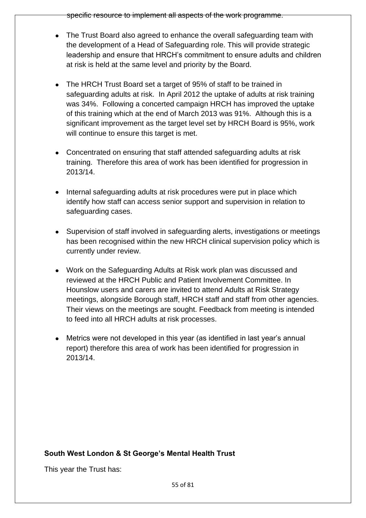specific resource to implement all aspects of the work programme.

- The Trust Board also agreed to enhance the overall safeguarding team with the development of a Head of Safeguarding role. This will provide strategic leadership and ensure that HRCH's commitment to ensure adults and children at risk is held at the same level and priority by the Board.
- The HRCH Trust Board set a target of 95% of staff to be trained in safeguarding adults at risk. In April 2012 the uptake of adults at risk training was 34%. Following a concerted campaign HRCH has improved the uptake of this training which at the end of March 2013 was 91%. Although this is a significant improvement as the target level set by HRCH Board is 95%, work will continue to ensure this target is met.
- Concentrated on ensuring that staff attended safeguarding adults at risk training. Therefore this area of work has been identified for progression in 2013/14.
- Internal safeguarding adults at risk procedures were put in place which identify how staff can access senior support and supervision in relation to safeguarding cases.
- Supervision of staff involved in safeguarding alerts, investigations or meetings has been recognised within the new HRCH clinical supervision policy which is currently under review.
- Work on the Safeguarding Adults at Risk work plan was discussed and reviewed at the HRCH Public and Patient Involvement Committee. In Hounslow users and carers are invited to attend Adults at Risk Strategy meetings, alongside Borough staff, HRCH staff and staff from other agencies. Their views on the meetings are sought. Feedback from meeting is intended to feed into all HRCH adults at risk processes.
- Metrics were not developed in this year (as identified in last year's annual report) therefore this area of work has been identified for progression in 2013/14.

# **South West London & St George's Mental Health Trust**

This year the Trust has: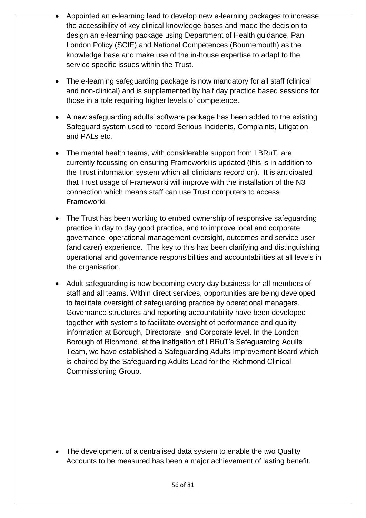- Appointed an e-learning lead to develop new e-learning packages to increase the accessibility of key clinical knowledge bases and made the decision to design an e-learning package using Department of Health guidance, Pan London Policy (SCIE) and National Competences (Bournemouth) as the knowledge base and make use of the in-house expertise to adapt to the service specific issues within the Trust.
- The e-learning safeguarding package is now mandatory for all staff (clinical and non-clinical) and is supplemented by half day practice based sessions for those in a role requiring higher levels of competence.
- A new safeguarding adults' software package has been added to the existing Safeguard system used to record Serious Incidents, Complaints, Litigation, and PALs etc.
- The mental health teams, with considerable support from LBRuT, are currently focussing on ensuring Frameworki is updated (this is in addition to the Trust information system which all clinicians record on). It is anticipated that Trust usage of Frameworki will improve with the installation of the N3 connection which means staff can use Trust computers to access Frameworki.
- The Trust has been working to embed ownership of responsive safeguarding practice in day to day good practice, and to improve local and corporate governance, operational management oversight, outcomes and service user (and carer) experience. The key to this has been clarifying and distinguishing operational and governance responsibilities and accountabilities at all levels in the organisation.
- Adult safeguarding is now becoming every day business for all members of staff and all teams. Within direct services, opportunities are being developed to facilitate oversight of safeguarding practice by operational managers. Governance structures and reporting accountability have been developed together with systems to facilitate oversight of performance and quality information at Borough, Directorate, and Corporate level. In the London Borough of Richmond, at the instigation of LBRuT's Safeguarding Adults Team, we have established a Safeguarding Adults Improvement Board which is chaired by the Safeguarding Adults Lead for the Richmond Clinical Commissioning Group.

• The development of a centralised data system to enable the two Quality Accounts to be measured has been a major achievement of lasting benefit.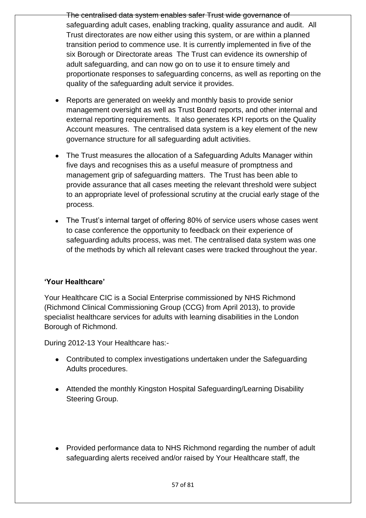The centralised data system enables safer Trust wide governance of safeguarding adult cases, enabling tracking, quality assurance and audit. All Trust directorates are now either using this system, or are within a planned transition period to commence use. It is currently implemented in five of the six Borough or Directorate areas The Trust can evidence its ownership of adult safeguarding, and can now go on to use it to ensure timely and proportionate responses to safeguarding concerns, as well as reporting on the quality of the safeguarding adult service it provides.

- Reports are generated on weekly and monthly basis to provide senior management oversight as well as Trust Board reports, and other internal and external reporting requirements. It also generates KPI reports on the Quality Account measures. The centralised data system is a key element of the new governance structure for all safeguarding adult activities.
- The Trust measures the allocation of a Safeguarding Adults Manager within five days and recognises this as a useful measure of promptness and management grip of safeguarding matters. The Trust has been able to provide assurance that all cases meeting the relevant threshold were subject to an appropriate level of professional scrutiny at the crucial early stage of the process.
- The Trust's internal target of offering 80% of service users whose cases went to case conference the opportunity to feedback on their experience of safeguarding adults process, was met. The centralised data system was one of the methods by which all relevant cases were tracked throughout the year.

# **'Your Healthcare'**

Your Healthcare CIC is a Social Enterprise commissioned by NHS Richmond (Richmond Clinical Commissioning Group (CCG) from April 2013), to provide specialist healthcare services for adults with learning disabilities in the London Borough of Richmond.

During 2012-13 Your Healthcare has:-

- Contributed to complex investigations undertaken under the Safeguarding Adults procedures.
- Attended the monthly Kingston Hospital Safeguarding/Learning Disability Steering Group.
- Provided performance data to NHS Richmond regarding the number of adult safeguarding alerts received and/or raised by Your Healthcare staff, the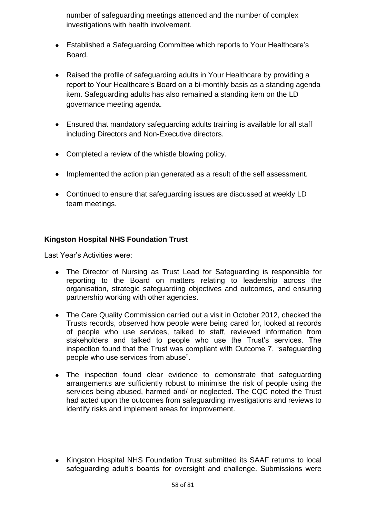number of safeguarding meetings attended and the number of complex investigations with health involvement.

- Established a Safeguarding Committee which reports to Your Healthcare's Board.
- Raised the profile of safeguarding adults in Your Healthcare by providing a report to Your Healthcare's Board on a bi-monthly basis as a standing agenda item. Safeguarding adults has also remained a standing item on the LD governance meeting agenda.
- Ensured that mandatory safeguarding adults training is available for all staff including Directors and Non-Executive directors.
- Completed a review of the whistle blowing policy.
- Implemented the action plan generated as a result of the self assessment.
- Continued to ensure that safeguarding issues are discussed at weekly LD team meetings.

# **Kingston Hospital NHS Foundation Trust**

Last Year's Activities were:

- The Director of Nursing as Trust Lead for Safeguarding is responsible for reporting to the Board on matters relating to leadership across the organisation, strategic safeguarding objectives and outcomes, and ensuring partnership working with other agencies.
- The Care Quality Commission carried out a visit in October 2012, checked the Trusts records, observed how people were being cared for, looked at records of people who use services, talked to staff, reviewed information from stakeholders and talked to people who use the Trust's services. The inspection found that the Trust was compliant with Outcome 7, "safeguarding people who use services from abuse".
- The inspection found clear evidence to demonstrate that safeguarding arrangements are sufficiently robust to minimise the risk of people using the services being abused, harmed and/ or neglected. The CQC noted the Trust had acted upon the outcomes from safeguarding investigations and reviews to identify risks and implement areas for improvement.
- $\bullet$ Kingston Hospital NHS Foundation Trust submitted its SAAF returns to local safeguarding adult's boards for oversight and challenge. Submissions were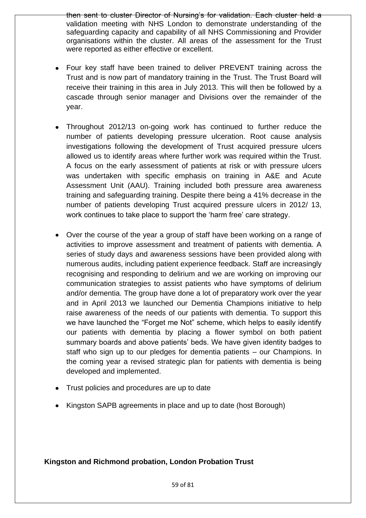then sent to cluster Director of Nursing's for validation. Each cluster held a validation meeting with NHS London to demonstrate understanding of the safeguarding capacity and capability of all NHS Commissioning and Provider organisations within the cluster. All areas of the assessment for the Trust were reported as either effective or excellent.

- Four key staff have been trained to deliver PREVENT training across the Trust and is now part of mandatory training in the Trust. The Trust Board will receive their training in this area in July 2013. This will then be followed by a cascade through senior manager and Divisions over the remainder of the year.
- Throughout 2012/13 on-going work has continued to further reduce the number of patients developing pressure ulceration. Root cause analysis investigations following the development of Trust acquired pressure ulcers allowed us to identify areas where further work was required within the Trust. A focus on the early assessment of patients at risk or with pressure ulcers was undertaken with specific emphasis on training in A&E and Acute Assessment Unit (AAU). Training included both pressure area awareness training and safeguarding training. Despite there being a 41% decrease in the number of patients developing Trust acquired pressure ulcers in 2012/ 13, work continues to take place to support the 'harm free' care strategy.
- Over the course of the year a group of staff have been working on a range of activities to improve assessment and treatment of patients with dementia. A series of study days and awareness sessions have been provided along with numerous audits, including patient experience feedback. Staff are increasingly recognising and responding to delirium and we are working on improving our communication strategies to assist patients who have symptoms of delirium and/or dementia. The group have done a lot of preparatory work over the year and in April 2013 we launched our Dementia Champions initiative to help raise awareness of the needs of our patients with dementia. To support this we have launched the "Forget me Not" scheme, which helps to easily identify our patients with dementia by placing a flower symbol on both patient summary boards and above patients' beds. We have given identity badges to staff who sign up to our pledges for dementia patients – our Champions. In the coming year a revised strategic plan for patients with dementia is being developed and implemented.
- Trust policies and procedures are up to date
- Kingston SAPB agreements in place and up to date (host Borough)

# **Kingston and Richmond probation, London Probation Trust**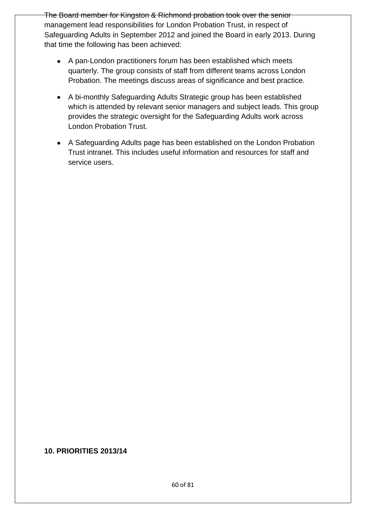The Board member for Kingston & Richmond probation took over the senior management lead responsibilities for London Probation Trust, in respect of Safeguarding Adults in September 2012 and joined the Board in early 2013. During that time the following has been achieved:

- A pan-London practitioners forum has been established which meets quarterly. The group consists of staff from different teams across London Probation. The meetings discuss areas of significance and best practice.
- A bi-monthly Safeguarding Adults Strategic group has been established which is attended by relevant senior managers and subject leads. This group provides the strategic oversight for the Safeguarding Adults work across London Probation Trust.
- A Safeguarding Adults page has been established on the London Probation Trust intranet. This includes useful information and resources for staff and service users.

#### **10. PRIORITIES 2013/14**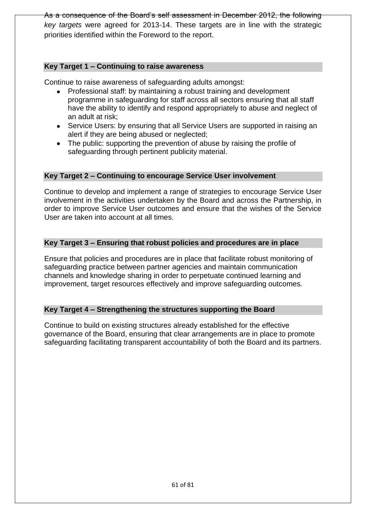As a consequence of the Board's self assessment in December 2012, the following *key targets* were agreed for 2013-14. These targets are in line with the strategic priorities identified within the Foreword to the report.

#### **Key Target 1 – Continuing to raise awareness**

Continue to raise awareness of safeguarding adults amongst:

- Professional staff: by maintaining a robust training and development programme in safeguarding for staff across all sectors ensuring that all staff have the ability to identify and respond appropriately to abuse and neglect of an adult at risk;
- Service Users: by ensuring that all Service Users are supported in raising an  $\bullet$ alert if they are being abused or neglected;
- The public: supporting the prevention of abuse by raising the profile of safeguarding through pertinent publicity material.

#### **Key Target 2 – Continuing to encourage Service User involvement**

Continue to develop and implement a range of strategies to encourage Service User involvement in the activities undertaken by the Board and across the Partnership, in order to improve Service User outcomes and ensure that the wishes of the Service User are taken into account at all times.

#### **Key Target 3 – Ensuring that robust policies and procedures are in place**

Ensure that policies and procedures are in place that facilitate robust monitoring of safeguarding practice between partner agencies and maintain communication channels and knowledge sharing in order to perpetuate continued learning and improvement, target resources effectively and improve safeguarding outcomes*.* 

### **Key Target 4 – Strengthening the structures supporting the Board**

Continue to build on existing structures already established for the effective governance of the Board, ensuring that clear arrangements are in place to promote safeguarding facilitating transparent accountability of both the Board and its partners.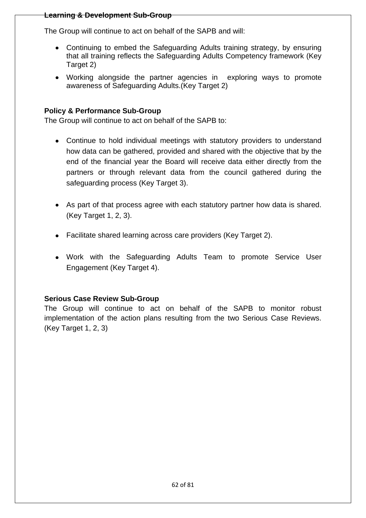#### **Learning & Development Sub-Group**

The Group will continue to act on behalf of the SAPB and will:

- Continuing to embed the Safeguarding Adults training strategy, by ensuring that all training reflects the Safeguarding Adults Competency framework (Key Target 2)
- Working alongside the partner agencies in exploring ways to promote awareness of Safeguarding Adults.(Key Target 2)

### **Policy & Performance Sub-Group**

The Group will continue to act on behalf of the SAPB to:

- Continue to hold individual meetings with statutory providers to understand how data can be gathered, provided and shared with the objective that by the end of the financial year the Board will receive data either directly from the partners or through relevant data from the council gathered during the safeguarding process (Key Target 3).
- As part of that process agree with each statutory partner how data is shared. (Key Target 1, 2, 3).
- Facilitate shared learning across care providers (Key Target 2).
- Work with the Safeguarding Adults Team to promote Service User Engagement (Key Target 4).

### **Serious Case Review Sub-Group**

The Group will continue to act on behalf of the SAPB to monitor robust implementation of the action plans resulting from the two Serious Case Reviews. (Key Target 1, 2, 3)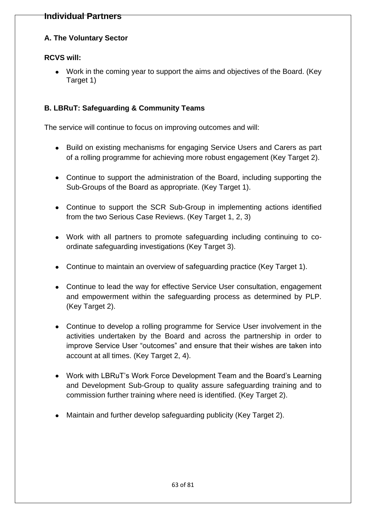# **A. The Voluntary Sector**

### **RCVS will:**

Work in the coming year to support the aims and objectives of the Board. (Key Target 1)

### **B. LBRuT: Safeguarding & Community Teams**

The service will continue to focus on improving outcomes and will:

- Build on existing mechanisms for engaging Service Users and Carers as part of a rolling programme for achieving more robust engagement (Key Target 2).
- Continue to support the administration of the Board, including supporting the Sub-Groups of the Board as appropriate. (Key Target 1).
- Continue to support the SCR Sub-Group in implementing actions identified from the two Serious Case Reviews. (Key Target 1, 2, 3)
- Work with all partners to promote safeguarding including continuing to coordinate safeguarding investigations (Key Target 3).
- Continue to maintain an overview of safeguarding practice (Key Target 1).
- Continue to lead the way for effective Service User consultation, engagement and empowerment within the safeguarding process as determined by PLP. (Key Target 2).
- Continue to develop a rolling programme for Service User involvement in the activities undertaken by the Board and across the partnership in order to improve Service User "outcomes" and ensure that their wishes are taken into account at all times. (Key Target 2, 4).
- Work with LBRuT's Work Force Development Team and the Board's Learning and Development Sub-Group to quality assure safeguarding training and to commission further training where need is identified. (Key Target 2).
- Maintain and further develop safeguarding publicity (Key Target 2).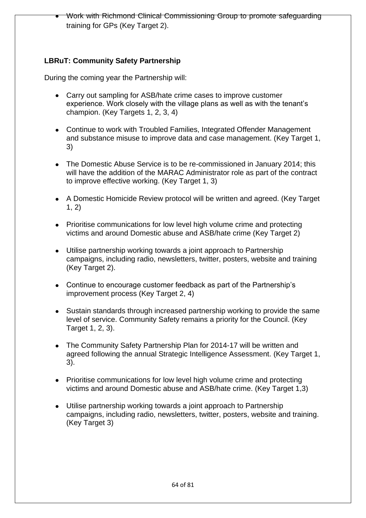Work with Richmond Clinical Commissioning Group to promote safeguarding training for GPs (Key Target 2).

# **LBRuT: Community Safety Partnership**

During the coming year the Partnership will:

- $\bullet$ Carry out sampling for ASB/hate crime cases to improve customer experience. Work closely with the village plans as well as with the tenant's champion. (Key Targets 1, 2, 3, 4)
- Continue to work with Troubled Families, Integrated Offender Management and substance misuse to improve data and case management. (Key Target 1, 3)
- The Domestic Abuse Service is to be re-commissioned in January 2014; this will have the addition of the MARAC Administrator role as part of the contract to improve effective working. (Key Target 1, 3)
- A Domestic Homicide Review protocol will be written and agreed. (Key Target  $1, 2)$
- Prioritise communications for low level high volume crime and protecting victims and around Domestic abuse and ASB/hate crime (Key Target 2)
- Utilise partnership working towards a joint approach to Partnership  $\bullet$ campaigns, including radio, newsletters, twitter, posters, website and training (Key Target 2).
- Continue to encourage customer feedback as part of the Partnership's improvement process (Key Target 2, 4)
- Sustain standards through increased partnership working to provide the same level of service. Community Safety remains a priority for the Council. (Key Target 1, 2, 3).
- The Community Safety Partnership Plan for 2014-17 will be written and agreed following the annual Strategic Intelligence Assessment. (Key Target 1, 3).
- Prioritise communications for low level high volume crime and protecting victims and around Domestic abuse and ASB/hate crime. (Key Target 1,3)
- $\bullet$ Utilise partnership working towards a joint approach to Partnership campaigns, including radio, newsletters, twitter, posters, website and training. (Key Target 3)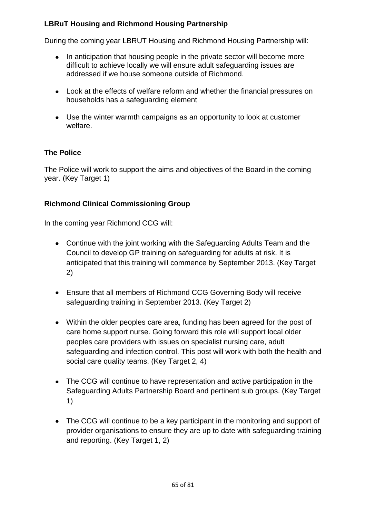### **LBRuT Housing and Richmond Housing Partnership**

During the coming year LBRUT Housing and Richmond Housing Partnership will:

- In anticipation that housing people in the private sector will become more  $\bullet$ difficult to achieve locally we will ensure adult safeguarding issues are addressed if we house someone outside of Richmond.
- Look at the effects of welfare reform and whether the financial pressures on households has a safeguarding element
- Use the winter warmth campaigns as an opportunity to look at customer welfare.

# **The Police**

The Police will work to support the aims and objectives of the Board in the coming year. (Key Target 1)

# **Richmond Clinical Commissioning Group**

In the coming year Richmond CCG will:

- Continue with the joint working with the Safeguarding Adults Team and the Council to develop GP training on safeguarding for adults at risk. It is anticipated that this training will commence by September 2013. (Key Target 2)
- Ensure that all members of Richmond CCG Governing Body will receive safeguarding training in September 2013. (Key Target 2)
- Within the older peoples care area, funding has been agreed for the post of care home support nurse. Going forward this role will support local older peoples care providers with issues on specialist nursing care, adult safeguarding and infection control. This post will work with both the health and social care quality teams. (Key Target 2, 4)
- The CCG will continue to have representation and active participation in the Safeguarding Adults Partnership Board and pertinent sub groups. (Key Target 1)
- The CCG will continue to be a key participant in the monitoring and support of provider organisations to ensure they are up to date with safeguarding training and reporting. (Key Target 1, 2)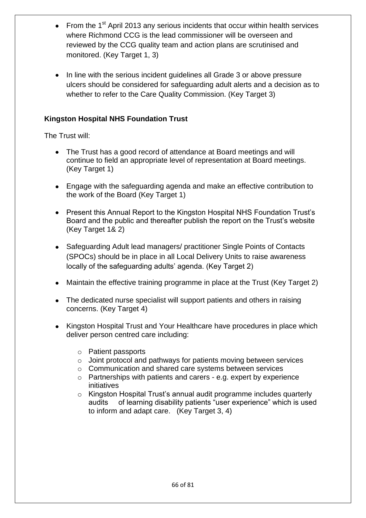- From the 1<sup>st</sup> April 2013 any serious incidents that occur within health services where Richmond CCG is the lead commissioner will be overseen and reviewed by the CCG quality team and action plans are scrutinised and monitored. (Key Target 1, 3)
- In line with the serious incident guidelines all Grade 3 or above pressure ulcers should be considered for safeguarding adult alerts and a decision as to whether to refer to the Care Quality Commission. (Key Target 3)

# **Kingston Hospital NHS Foundation Trust**

The Trust will:

- The Trust has a good record of attendance at Board meetings and will continue to field an appropriate level of representation at Board meetings. (Key Target 1)
- Engage with the safeguarding agenda and make an effective contribution to the work of the Board (Key Target 1)
- Present this Annual Report to the Kingston Hospital NHS Foundation Trust's Board and the public and thereafter publish the report on the Trust's website (Key Target 1& 2)
- Safeguarding Adult lead managers/ practitioner Single Points of Contacts (SPOCs) should be in place in all Local Delivery Units to raise awareness locally of the safeguarding adults' agenda. (Key Target 2)
- Maintain the effective training programme in place at the Trust (Key Target 2)
- The dedicated nurse specialist will support patients and others in raising concerns. (Key Target 4)
- Kingston Hospital Trust and Your Healthcare have procedures in place which deliver person centred care including:
	- o Patient passports
	- o Joint protocol and pathways for patients moving between services
	- o Communication and shared care systems between services
	- o Partnerships with patients and carers e.g. expert by experience initiatives
	- o Kingston Hospital Trust's annual audit programme includes quarterly audits of learning disability patients "user experience" which is used to inform and adapt care. (Key Target 3, 4)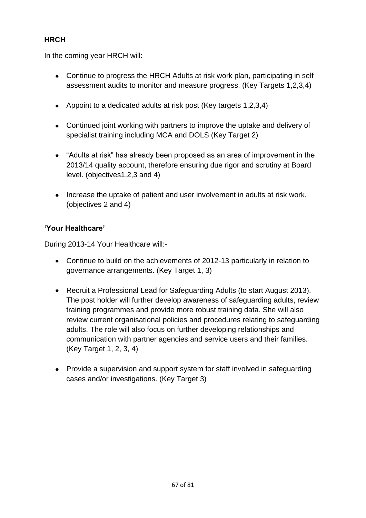### **HRCH**

In the coming year HRCH will:

- Continue to progress the HRCH Adults at risk work plan, participating in self assessment audits to monitor and measure progress. (Key Targets 1,2,3,4)
- Appoint to a dedicated adults at risk post (Key targets 1,2,3,4)
- Continued joint working with partners to improve the uptake and delivery of specialist training including MCA and DOLS (Key Target 2)
- "Adults at risk" has already been proposed as an area of improvement in the 2013/14 quality account, therefore ensuring due rigor and scrutiny at Board level. (objectives1,2,3 and 4)
- Increase the uptake of patient and user involvement in adults at risk work. (objectives 2 and 4)

### **'Your Healthcare'**

During 2013-14 Your Healthcare will:-

- Continue to build on the achievements of 2012-13 particularly in relation to governance arrangements. (Key Target 1, 3)
- Recruit a Professional Lead for Safeguarding Adults (to start August 2013). The post holder will further develop awareness of safeguarding adults, review training programmes and provide more robust training data. She will also review current organisational policies and procedures relating to safeguarding adults. The role will also focus on further developing relationships and communication with partner agencies and service users and their families. (Key Target 1, 2, 3, 4)
- Provide a supervision and support system for staff involved in safeguarding cases and/or investigations. (Key Target 3)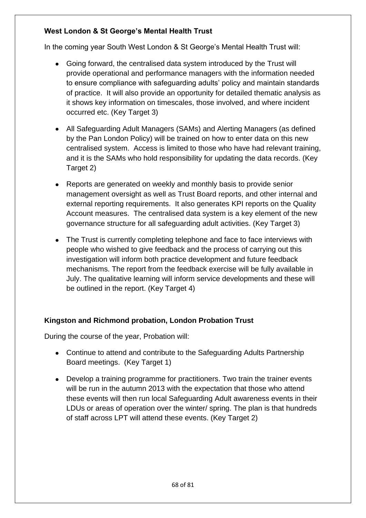# **West London & St George's Mental Health Trust**

In the coming year South West London & St George's Mental Health Trust will:

- Going forward, the centralised data system introduced by the Trust will provide operational and performance managers with the information needed to ensure compliance with safeguarding adults' policy and maintain standards of practice. It will also provide an opportunity for detailed thematic analysis as it shows key information on timescales, those involved, and where incident occurred etc. (Key Target 3)
- All Safeguarding Adult Managers (SAMs) and Alerting Managers (as defined by the Pan London Policy) will be trained on how to enter data on this new centralised system. Access is limited to those who have had relevant training, and it is the SAMs who hold responsibility for updating the data records. (Key Target 2)
- Reports are generated on weekly and monthly basis to provide senior management oversight as well as Trust Board reports, and other internal and external reporting requirements. It also generates KPI reports on the Quality Account measures. The centralised data system is a key element of the new governance structure for all safeguarding adult activities. (Key Target 3)
- The Trust is currently completing telephone and face to face interviews with people who wished to give feedback and the process of carrying out this investigation will inform both practice development and future feedback mechanisms. The report from the feedback exercise will be fully available in July. The qualitative learning will inform service developments and these will be outlined in the report. (Key Target 4)

### **Kingston and Richmond probation, London Probation Trust**

During the course of the year, Probation will:

- Continue to attend and contribute to the Safeguarding Adults Partnership Board meetings. (Key Target 1)
- Develop a training programme for practitioners. Two train the trainer events will be run in the autumn 2013 with the expectation that those who attend these events will then run local Safeguarding Adult awareness events in their LDUs or areas of operation over the winter/ spring. The plan is that hundreds of staff across LPT will attend these events. (Key Target 2)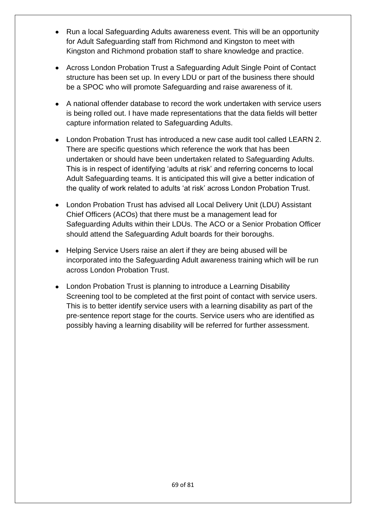- Run a local Safeguarding Adults awareness event. This will be an opportunity  $\bullet$ for Adult Safeguarding staff from Richmond and Kingston to meet with Kingston and Richmond probation staff to share knowledge and practice.
- Across London Probation Trust a Safeguarding Adult Single Point of Contact structure has been set up. In every LDU or part of the business there should be a SPOC who will promote Safeguarding and raise awareness of it.
- A national offender database to record the work undertaken with service users is being rolled out. I have made representations that the data fields will better capture information related to Safeguarding Adults.
- London Probation Trust has introduced a new case audit tool called LEARN 2. There are specific questions which reference the work that has been undertaken or should have been undertaken related to Safeguarding Adults. This is in respect of identifying 'adults at risk' and referring concerns to local Adult Safeguarding teams. It is anticipated this will give a better indication of the quality of work related to adults 'at risk' across London Probation Trust.
- London Probation Trust has advised all Local Delivery Unit (LDU) Assistant Chief Officers (ACOs) that there must be a management lead for Safeguarding Adults within their LDUs. The ACO or a Senior Probation Officer should attend the Safeguarding Adult boards for their boroughs.
- Helping Service Users raise an alert if they are being abused will be incorporated into the Safeguarding Adult awareness training which will be run across London Probation Trust.
- London Probation Trust is planning to introduce a Learning Disability Screening tool to be completed at the first point of contact with service users. This is to better identify service users with a learning disability as part of the pre-sentence report stage for the courts. Service users who are identified as possibly having a learning disability will be referred for further assessment.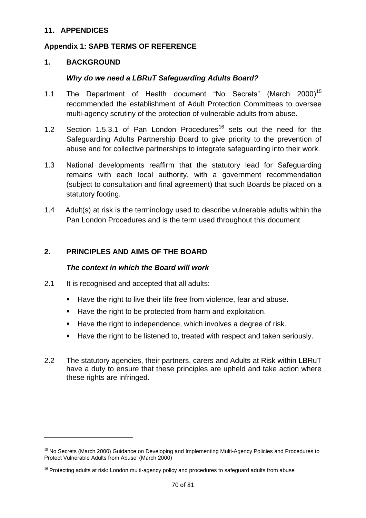#### **11. APPENDICES**

#### **Appendix 1: SAPB TERMS OF REFERENCE**

#### **1. BACKGROUND**

**.** 

#### *Why do we need a LBRuT Safeguarding Adults Board?*

- 1.1 The Department of Health document "No Secrets" (March 2000)<sup>15</sup> recommended the establishment of Adult Protection Committees to oversee multi-agency scrutiny of the protection of vulnerable adults from abuse.
- 1.2 Section 1.5.3.1 of Pan London Procedures<sup>16</sup> sets out the need for the Safeguarding Adults Partnership Board to give priority to the prevention of abuse and for collective partnerships to integrate safeguarding into their work.
- 1.3 National developments reaffirm that the statutory lead for Safeguarding remains with each local authority, with a government recommendation (subject to consultation and final agreement) that such Boards be placed on a statutory footing.
- 1.4 Adult(s) at risk is the terminology used to describe vulnerable adults within the Pan London Procedures and is the term used throughout this document

### **2. PRINCIPLES AND AIMS OF THE BOARD**

#### *The context in which the Board will work*

- 2.1 It is recognised and accepted that all adults:
	- Have the right to live their life free from violence, fear and abuse.
	- Have the right to be protected from harm and exploitation.
	- Have the right to independence, which involves a degree of risk.
	- Have the right to be listened to, treated with respect and taken seriously.
- 2.2 The statutory agencies, their partners, carers and Adults at Risk within LBRuT have a duty to ensure that these principles are upheld and take action where these rights are infringed.

<sup>&</sup>lt;sup>15</sup> No Secrets (March 2000) Guidance on Developing and Implementing Multi-Agency Policies and Procedures to Protect Vulnerable Adults from Abuse' (March 2000)

<sup>&</sup>lt;sup>16</sup> Protecting adults at risk: London multi-agency policy and procedures to safeguard adults from abuse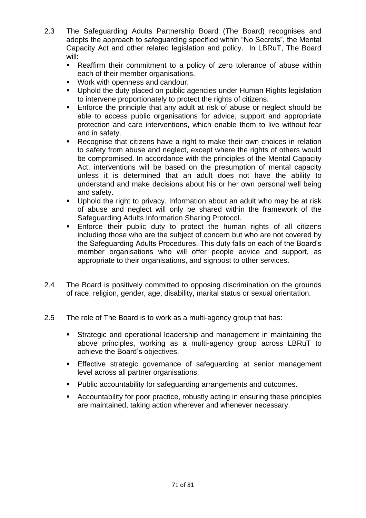- 2.3 The Safeguarding Adults Partnership Board (The Board) recognises and adopts the approach to safeguarding specified within "No Secrets", the Mental Capacity Act and other related legislation and policy. In LBRuT, The Board will:
	- Reaffirm their commitment to a policy of zero tolerance of abuse within each of their member organisations.
	- Work with openness and candour.
	- Uphold the duty placed on public agencies under Human Rights legislation to intervene proportionately to protect the rights of citizens.
	- **Enforce the principle that any adult at risk of abuse or neglect should be** able to access public organisations for advice, support and appropriate protection and care interventions, which enable them to live without fear and in safety.
	- Recognise that citizens have a right to make their own choices in relation to safety from abuse and neglect, except where the rights of others would be compromised. In accordance with the principles of the Mental Capacity Act, interventions will be based on the presumption of mental capacity unless it is determined that an adult does not have the ability to understand and make decisions about his or her own personal well being and safety.
	- Uphold the right to privacy. Information about an adult who may be at risk of abuse and neglect will only be shared within the framework of the Safeguarding Adults Information Sharing Protocol.
	- Enforce their public duty to protect the human rights of all citizens including those who are the subject of concern but who are not covered by the Safeguarding Adults Procedures. This duty falls on each of the Board's member organisations who will offer people advice and support, as appropriate to their organisations, and signpost to other services.
- 2.4 The Board is positively committed to opposing discrimination on the grounds of race, religion, gender, age, disability, marital status or sexual orientation.
- 2.5 The role of The Board is to work as a multi-agency group that has:
	- Strategic and operational leadership and management in maintaining the above principles, working as a multi-agency group across LBRuT to achieve the Board's objectives.
	- **Effective strategic governance of safeguarding at senior management** level across all partner organisations.
	- Public accountability for safeguarding arrangements and outcomes.
	- Accountability for poor practice, robustly acting in ensuring these principles are maintained, taking action wherever and whenever necessary.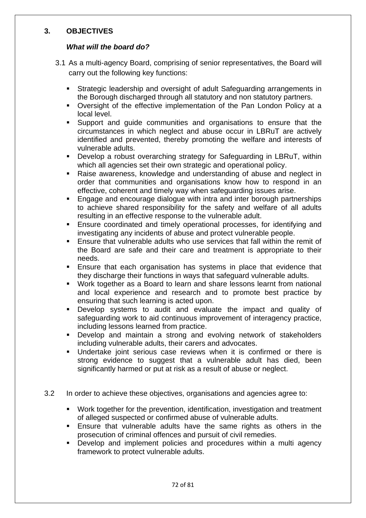### **3. OBJECTIVES**

#### *What will the board do?*

- 3.1 As a multi-agency Board, comprising of senior representatives, the Board will carry out the following key functions:
	- Strategic leadership and oversight of adult Safeguarding arrangements in the Borough discharged through all statutory and non statutory partners.
	- Oversight of the effective implementation of the Pan London Policy at a local level.
	- Support and guide communities and organisations to ensure that the circumstances in which neglect and abuse occur in LBRuT are actively identified and prevented, thereby promoting the welfare and interests of vulnerable adults.
	- Develop a robust overarching strategy for Safeguarding in LBRuT, within which all agencies set their own strategic and operational policy.
	- Raise awareness, knowledge and understanding of abuse and neglect in order that communities and organisations know how to respond in an effective, coherent and timely way when safeguarding issues arise.
	- **Engage and encourage dialogue with intra and inter borough partnerships** to achieve shared responsibility for the safety and welfare of all adults resulting in an effective response to the vulnerable adult.
	- Ensure coordinated and timely operational processes, for identifying and investigating any incidents of abuse and protect vulnerable people.
	- Ensure that vulnerable adults who use services that fall within the remit of the Board are safe and their care and treatment is appropriate to their needs.
	- Ensure that each organisation has systems in place that evidence that they discharge their functions in ways that safeguard vulnerable adults.
	- Work together as a Board to learn and share lessons learnt from national and local experience and research and to promote best practice by ensuring that such learning is acted upon.
	- Develop systems to audit and evaluate the impact and quality of safeguarding work to aid continuous improvement of interagency practice, including lessons learned from practice.
	- Develop and maintain a strong and evolving network of stakeholders including vulnerable adults, their carers and advocates.
	- **Undertake joint serious case reviews when it is confirmed or there is** strong evidence to suggest that a vulnerable adult has died, been significantly harmed or put at risk as a result of abuse or neglect.
- 3.2 In order to achieve these objectives, organisations and agencies agree to:
	- Work together for the prevention, identification, investigation and treatment of alleged suspected or confirmed abuse of vulnerable adults.
	- Ensure that vulnerable adults have the same rights as others in the prosecution of criminal offences and pursuit of civil remedies.
	- Develop and implement policies and procedures within a multi agency framework to protect vulnerable adults.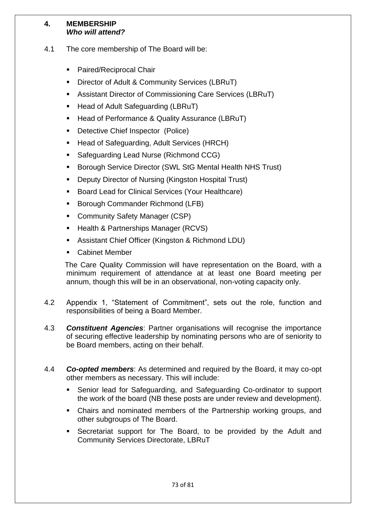#### **4. MEMBERSHIP** *Who will attend?*

- 4.1 The core membership of The Board will be:
	- Paired/Reciprocal Chair
	- **Director of Adult & Community Services (LBRuT)**
	- Assistant Director of Commissioning Care Services (LBRuT)
	- Head of Adult Safeguarding (LBRuT)
	- Head of Performance & Quality Assurance (LBRuT)
	- Detective Chief Inspector (Police)
	- Head of Safeguarding, Adult Services (HRCH)
	- Safeguarding Lead Nurse (Richmond CCG)
	- **Borough Service Director (SWL StG Mental Health NHS Trust)**
	- Deputy Director of Nursing (Kingston Hospital Trust)
	- Board Lead for Clinical Services (Your Healthcare)
	- Borough Commander Richmond (LFB)
	- Community Safety Manager (CSP)
	- Health & Partnerships Manager (RCVS)
	- Assistant Chief Officer (Kingston & Richmond LDU)
	- Cabinet Member

 The Care Quality Commission will have representation on the Board, with a minimum requirement of attendance at at least one Board meeting per annum, though this will be in an observational, non-voting capacity only.

- 4.2 Appendix 1, "Statement of Commitment", sets out the role, function and responsibilities of being a Board Member.
- 4.3 *Constituent Agencies*: Partner organisations will recognise the importance of securing effective leadership by nominating persons who are of seniority to be Board members, acting on their behalf.
- 4.4 *Co-opted members*: As determined and required by the Board, it may co-opt other members as necessary. This will include:
	- Senior lead for Safeguarding, and Safeguarding Co-ordinator to support the work of the board (NB these posts are under review and development).
	- Chairs and nominated members of the Partnership working groups, and other subgroups of The Board.
	- Secretariat support for The Board, to be provided by the Adult and Community Services Directorate, LBRuT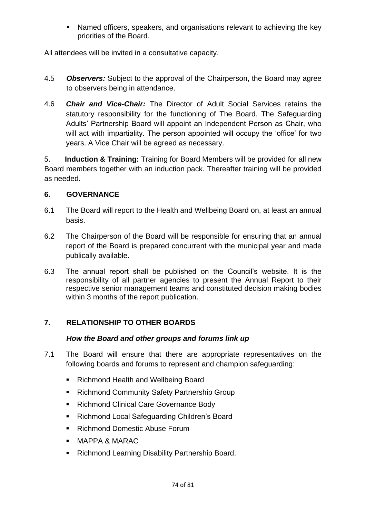Named officers, speakers, and organisations relevant to achieving the key priorities of the Board.

All attendees will be invited in a consultative capacity.

- 4.5 *Observers:* Subject to the approval of the Chairperson, the Board may agree to observers being in attendance.
- 4.6 *Chair and Vice-Chair:* The Director of Adult Social Services retains the statutory responsibility for the functioning of The Board. The Safeguarding Adults' Partnership Board will appoint an Independent Person as Chair, who will act with impartiality. The person appointed will occupy the 'office' for two years. A Vice Chair will be agreed as necessary.

5. **Induction & Training:** Training for Board Members will be provided for all new Board members together with an induction pack. Thereafter training will be provided as needed.

## **6. GOVERNANCE**

- 6.1 The Board will report to the Health and Wellbeing Board on, at least an annual basis.
- 6.2 The Chairperson of the Board will be responsible for ensuring that an annual report of the Board is prepared concurrent with the municipal year and made publically available.
- 6.3 The annual report shall be published on the Council's website. It is the responsibility of all partner agencies to present the Annual Report to their respective senior management teams and constituted decision making bodies within 3 months of the report publication.

# **7. RELATIONSHIP TO OTHER BOARDS**

## *How the Board and other groups and forums link up*

- 7.1 The Board will ensure that there are appropriate representatives on the following boards and forums to represent and champion safeguarding:
	- Richmond Health and Wellbeing Board
	- **Richmond Community Safety Partnership Group**
	- **Richmond Clinical Care Governance Body**
	- Richmond Local Safeguarding Children's Board
	- Richmond Domestic Abuse Forum
	- MAPPA & MARAC
	- Richmond Learning Disability Partnership Board.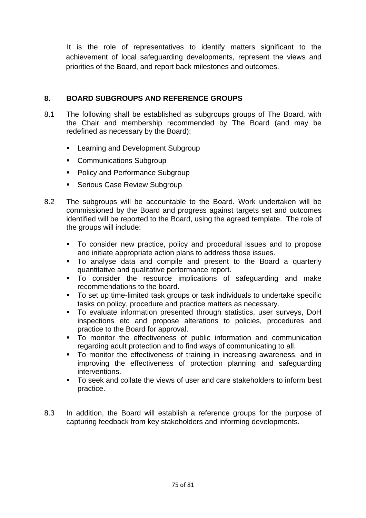It is the role of representatives to identify matters significant to the achievement of local safeguarding developments, represent the views and priorities of the Board, and report back milestones and outcomes.

## **8. BOARD SUBGROUPS AND REFERENCE GROUPS**

- 8.1 The following shall be established as subgroups groups of The Board, with the Chair and membership recommended by The Board (and may be redefined as necessary by the Board):
	- Learning and Development Subgroup
	- **Communications Subgroup**
	- Policy and Performance Subgroup
	- Serious Case Review Subgroup
- 8.2 The subgroups will be accountable to the Board. Work undertaken will be commissioned by the Board and progress against targets set and outcomes identified will be reported to the Board, using the agreed template. The role of the groups will include:
	- To consider new practice, policy and procedural issues and to propose and initiate appropriate action plans to address those issues.
	- To analyse data and compile and present to the Board a quarterly quantitative and qualitative performance report.
	- To consider the resource implications of safeguarding and make recommendations to the board.
	- To set up time-limited task groups or task individuals to undertake specific tasks on policy, procedure and practice matters as necessary.
	- To evaluate information presented through statistics, user surveys, DoH inspections etc and propose alterations to policies, procedures and practice to the Board for approval.
	- To monitor the effectiveness of public information and communication regarding adult protection and to find ways of communicating to all.
	- To monitor the effectiveness of training in increasing awareness, and in improving the effectiveness of protection planning and safeguarding interventions.
	- To seek and collate the views of user and care stakeholders to inform best practice.
- 8.3 In addition, the Board will establish a reference groups for the purpose of capturing feedback from key stakeholders and informing developments.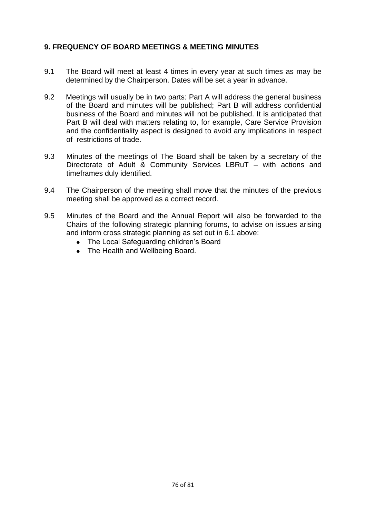## **9. FREQUENCY OF BOARD MEETINGS & MEETING MINUTES**

- 9.1 The Board will meet at least 4 times in every year at such times as may be determined by the Chairperson. Dates will be set a year in advance.
- 9.2 Meetings will usually be in two parts: Part A will address the general business of the Board and minutes will be published; Part B will address confidential business of the Board and minutes will not be published. It is anticipated that Part B will deal with matters relating to, for example, Care Service Provision and the confidentiality aspect is designed to avoid any implications in respect of restrictions of trade.
- 9.3 Minutes of the meetings of The Board shall be taken by a secretary of the Directorate of Adult & Community Services LBRuT – with actions and timeframes duly identified.
- 9.4 The Chairperson of the meeting shall move that the minutes of the previous meeting shall be approved as a correct record.
- 9.5 Minutes of the Board and the Annual Report will also be forwarded to the Chairs of the following strategic planning forums, to advise on issues arising and inform cross strategic planning as set out in 6.1 above:
	- The Local Safeguarding children's Board
	- The Health and Wellbeing Board.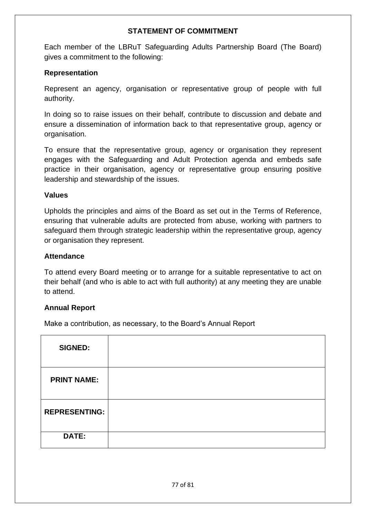#### **STATEMENT OF COMMITMENT**

Each member of the LBRuT Safeguarding Adults Partnership Board (The Board) gives a commitment to the following:

#### **Representation**

Represent an agency, organisation or representative group of people with full authority.

In doing so to raise issues on their behalf, contribute to discussion and debate and ensure a dissemination of information back to that representative group, agency or organisation.

To ensure that the representative group, agency or organisation they represent engages with the Safeguarding and Adult Protection agenda and embeds safe practice in their organisation, agency or representative group ensuring positive leadership and stewardship of the issues.

#### **Values**

Upholds the principles and aims of the Board as set out in the Terms of Reference, ensuring that vulnerable adults are protected from abuse, working with partners to safeguard them through strategic leadership within the representative group, agency or organisation they represent.

#### **Attendance**

To attend every Board meeting or to arrange for a suitable representative to act on their behalf (and who is able to act with full authority) at any meeting they are unable to attend.

## **Annual Report**

Make a contribution, as necessary, to the Board's Annual Report

| <b>SIGNED:</b>       |  |
|----------------------|--|
| <b>PRINT NAME:</b>   |  |
| <b>REPRESENTING:</b> |  |
| DATE:                |  |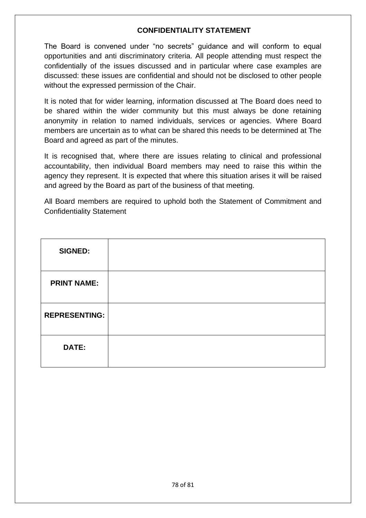#### **CONFIDENTIALITY STATEMENT**

The Board is convened under "no secrets" guidance and will conform to equal opportunities and anti discriminatory criteria. All people attending must respect the confidentially of the issues discussed and in particular where case examples are discussed: these issues are confidential and should not be disclosed to other people without the expressed permission of the Chair.

It is noted that for wider learning, information discussed at The Board does need to be shared within the wider community but this must always be done retaining anonymity in relation to named individuals, services or agencies. Where Board members are uncertain as to what can be shared this needs to be determined at The Board and agreed as part of the minutes.

It is recognised that, where there are issues relating to clinical and professional accountability, then individual Board members may need to raise this within the agency they represent. It is expected that where this situation arises it will be raised and agreed by the Board as part of the business of that meeting.

All Board members are required to uphold both the Statement of Commitment and Confidentiality Statement

| <b>SIGNED:</b>       |  |
|----------------------|--|
| <b>PRINT NAME:</b>   |  |
| <b>REPRESENTING:</b> |  |
| DATE:                |  |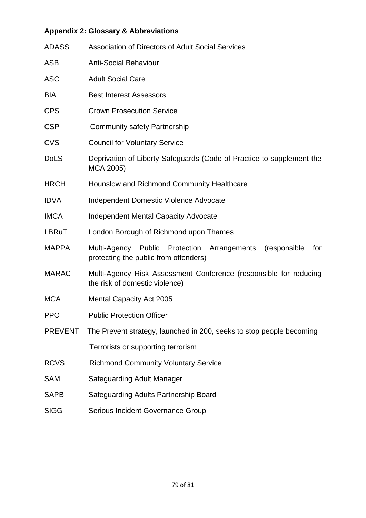| <b>Appendix 2: Glossary &amp; Abbreviations</b> |                                                                                                                 |  |  |  |
|-------------------------------------------------|-----------------------------------------------------------------------------------------------------------------|--|--|--|
| <b>ADASS</b>                                    | <b>Association of Directors of Adult Social Services</b>                                                        |  |  |  |
| <b>ASB</b>                                      | <b>Anti-Social Behaviour</b>                                                                                    |  |  |  |
| <b>ASC</b>                                      | <b>Adult Social Care</b>                                                                                        |  |  |  |
| <b>BIA</b>                                      | <b>Best Interest Assessors</b>                                                                                  |  |  |  |
| <b>CPS</b>                                      | <b>Crown Prosecution Service</b>                                                                                |  |  |  |
| <b>CSP</b>                                      | <b>Community safety Partnership</b>                                                                             |  |  |  |
| <b>CVS</b>                                      | <b>Council for Voluntary Service</b>                                                                            |  |  |  |
| <b>DoLS</b>                                     | Deprivation of Liberty Safeguards (Code of Practice to supplement the<br>MCA 2005)                              |  |  |  |
| <b>HRCH</b>                                     | Hounslow and Richmond Community Healthcare                                                                      |  |  |  |
| <b>IDVA</b>                                     | <b>Independent Domestic Violence Advocate</b>                                                                   |  |  |  |
| <b>IMCA</b>                                     | <b>Independent Mental Capacity Advocate</b>                                                                     |  |  |  |
| LBRuT                                           | London Borough of Richmond upon Thames                                                                          |  |  |  |
| <b>MAPPA</b>                                    | Multi-Agency Public Protection<br>Arrangements<br>(responsible)<br>for<br>protecting the public from offenders) |  |  |  |
| <b>MARAC</b>                                    | Multi-Agency Risk Assessment Conference (responsible for reducing<br>the risk of domestic violence)             |  |  |  |
| <b>MCA</b>                                      | <b>Mental Capacity Act 2005</b>                                                                                 |  |  |  |
| <b>PPO</b>                                      | <b>Public Protection Officer</b>                                                                                |  |  |  |
| <b>PREVENT</b>                                  | The Prevent strategy, launched in 200, seeks to stop people becoming                                            |  |  |  |
|                                                 | Terrorists or supporting terrorism                                                                              |  |  |  |
| <b>RCVS</b>                                     | <b>Richmond Community Voluntary Service</b>                                                                     |  |  |  |
| <b>SAM</b>                                      | Safeguarding Adult Manager                                                                                      |  |  |  |
| <b>SAPB</b>                                     | Safeguarding Adults Partnership Board                                                                           |  |  |  |
| <b>SIGG</b>                                     | Serious Incident Governance Group                                                                               |  |  |  |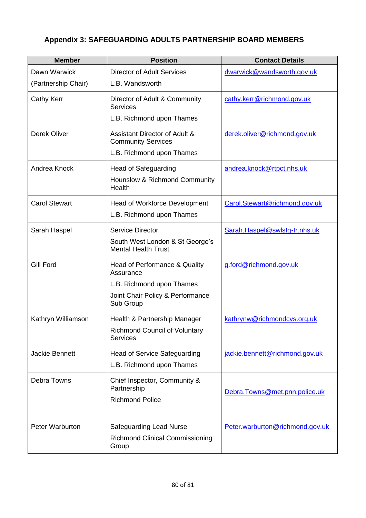# **Appendix 3: SAFEGUARDING ADULTS PARTNERSHIP BOARD MEMBERS**

| <b>Member</b>        | <b>Position</b>                                               | <b>Contact Details</b>          |
|----------------------|---------------------------------------------------------------|---------------------------------|
| Dawn Warwick         | <b>Director of Adult Services</b>                             | dwarwick@wandsworth.gov.uk      |
| (Partnership Chair)  | L.B. Wandsworth                                               |                                 |
| <b>Cathy Kerr</b>    | Director of Adult & Community<br><b>Services</b>              | cathy.kerr@richmond.gov.uk      |
|                      | L.B. Richmond upon Thames                                     |                                 |
| <b>Derek Oliver</b>  | Assistant Director of Adult &<br><b>Community Services</b>    | derek.oliver@richmond.gov.uk    |
|                      | L.B. Richmond upon Thames                                     |                                 |
| Andrea Knock         | <b>Head of Safeguarding</b>                                   | andrea.knock@rtpct.nhs.uk       |
|                      | Hounslow & Richmond Community<br>Health                       |                                 |
| <b>Carol Stewart</b> | <b>Head of Workforce Development</b>                          | Carol.Stewart@richmond.gov.uk   |
|                      | L.B. Richmond upon Thames                                     |                                 |
| Sarah Haspel         | <b>Service Director</b>                                       | Sarah.Haspel@swlstg-tr.nhs.uk   |
|                      | South West London & St George's<br><b>Mental Health Trust</b> |                                 |
| <b>Gill Ford</b>     | Head of Performance & Quality<br>Assurance                    | g.ford@richmond.gov.uk          |
|                      | L.B. Richmond upon Thames                                     |                                 |
|                      | Joint Chair Policy & Performance<br>Sub Group                 |                                 |
| Kathryn Williamson   | Health & Partnership Manager                                  | kathrynw@richmondcvs.org.uk     |
|                      | <b>Richmond Council of Voluntary</b><br><b>Services</b>       |                                 |
| Jackie Bennett       | <b>Head of Service Safeguarding</b>                           | jackie.bennett@richmond.gov.uk  |
|                      | L.B. Richmond upon Thames                                     |                                 |
| Debra Towns          | Chief Inspector, Community &<br>Partnership                   |                                 |
|                      | <b>Richmond Police</b>                                        | Debra. Towns@met.pnn.police.uk  |
|                      |                                                               |                                 |
| Peter Warburton      | <b>Safeguarding Lead Nurse</b>                                | Peter.warburton@richmond.gov.uk |
|                      | <b>Richmond Clinical Commissioning</b><br>Group               |                                 |